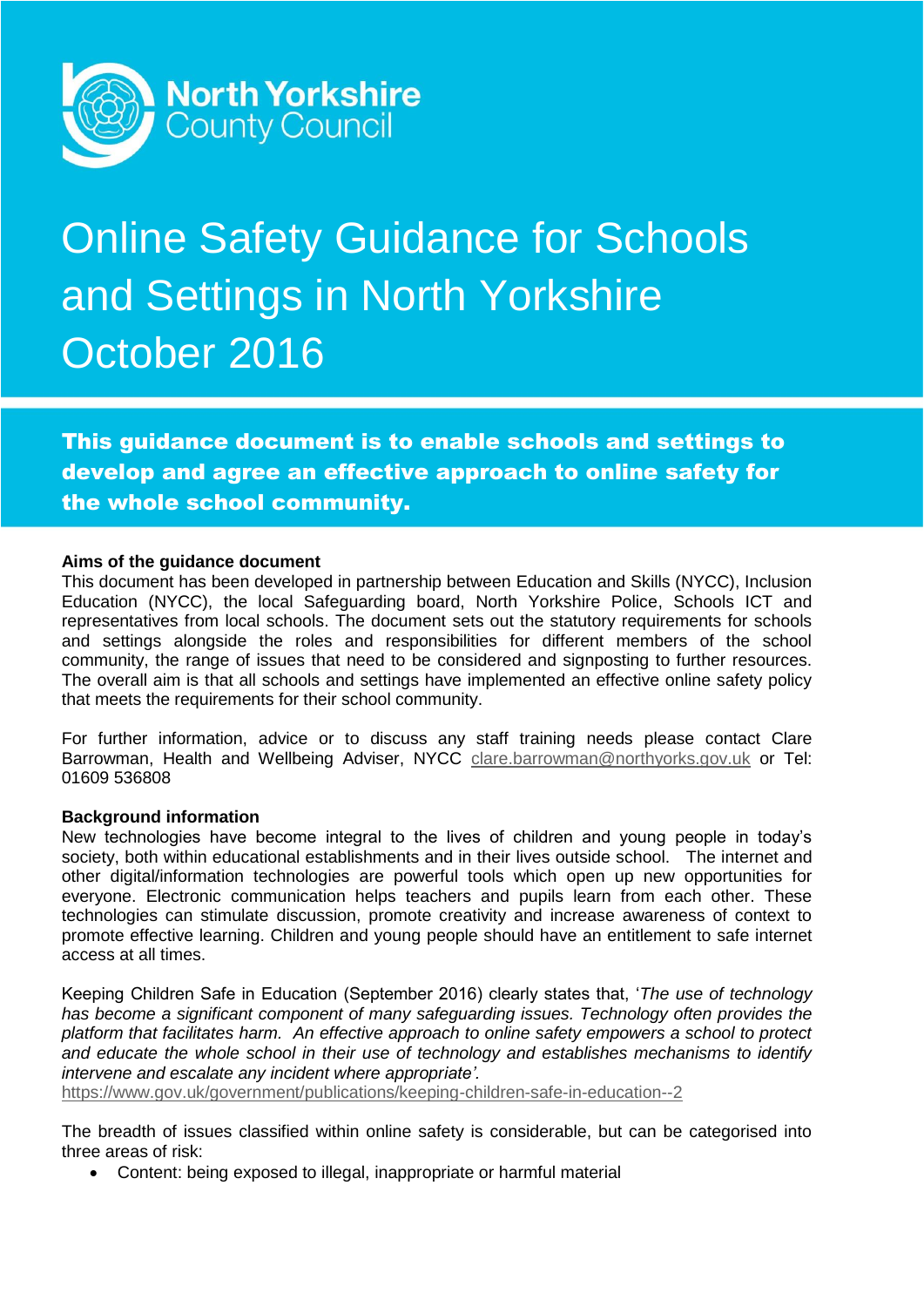

# Online Safety Guidance for Schools and Settings in North Yorkshire October 2016

This guidance document is to enable schools and settings to develop and agree an effective approach to online safety for the whole school community.

#### **Aims of the guidance document**

This document has been developed in partnership between Education and Skills (NYCC), Inclusion Education (NYCC), the local Safeguarding board, North Yorkshire Police, Schools ICT and representatives from local schools. The document sets out the statutory requirements for schools and settings alongside the roles and responsibilities for different members of the school community, the range of issues that need to be considered and signposting to further resources. The overall aim is that all schools and settings have implemented an effective online safety policy that meets the requirements for their school community.

For further information, advice or to discuss any staff training needs please contact Clare Barrowman, Health and Wellbeing Adviser, NYCC [clare.barrowman@northyorks.gov.uk](mailto:clare.barrowman@northyorks.gov.uk) or Tel: 01609 536808

#### **Background information**

New technologies have become integral to the lives of children and young people in today's society, both within educational establishments and in their lives outside school. The internet and other digital/information technologies are powerful tools which open up new opportunities for everyone. Electronic communication helps teachers and pupils learn from each other. These technologies can stimulate discussion, promote creativity and increase awareness of context to promote effective learning. Children and young people should have an entitlement to safe internet access at all times.

Keeping Children Safe in Education (September 2016) clearly states that, '*The use of technology has become a significant component of many safeguarding issues. Technology often provides the platform that facilitates harm. An effective approach to online safety empowers a school to protect and educate the whole school in their use of technology and establishes mechanisms to identify intervene and escalate any incident where appropriate'.* 

<https://www.gov.uk/government/publications/keeping-children-safe-in-education--2>

The breadth of issues classified within online safety is considerable, but can be categorised into three areas of risk:

Content: being exposed to illegal, inappropriate or harmful material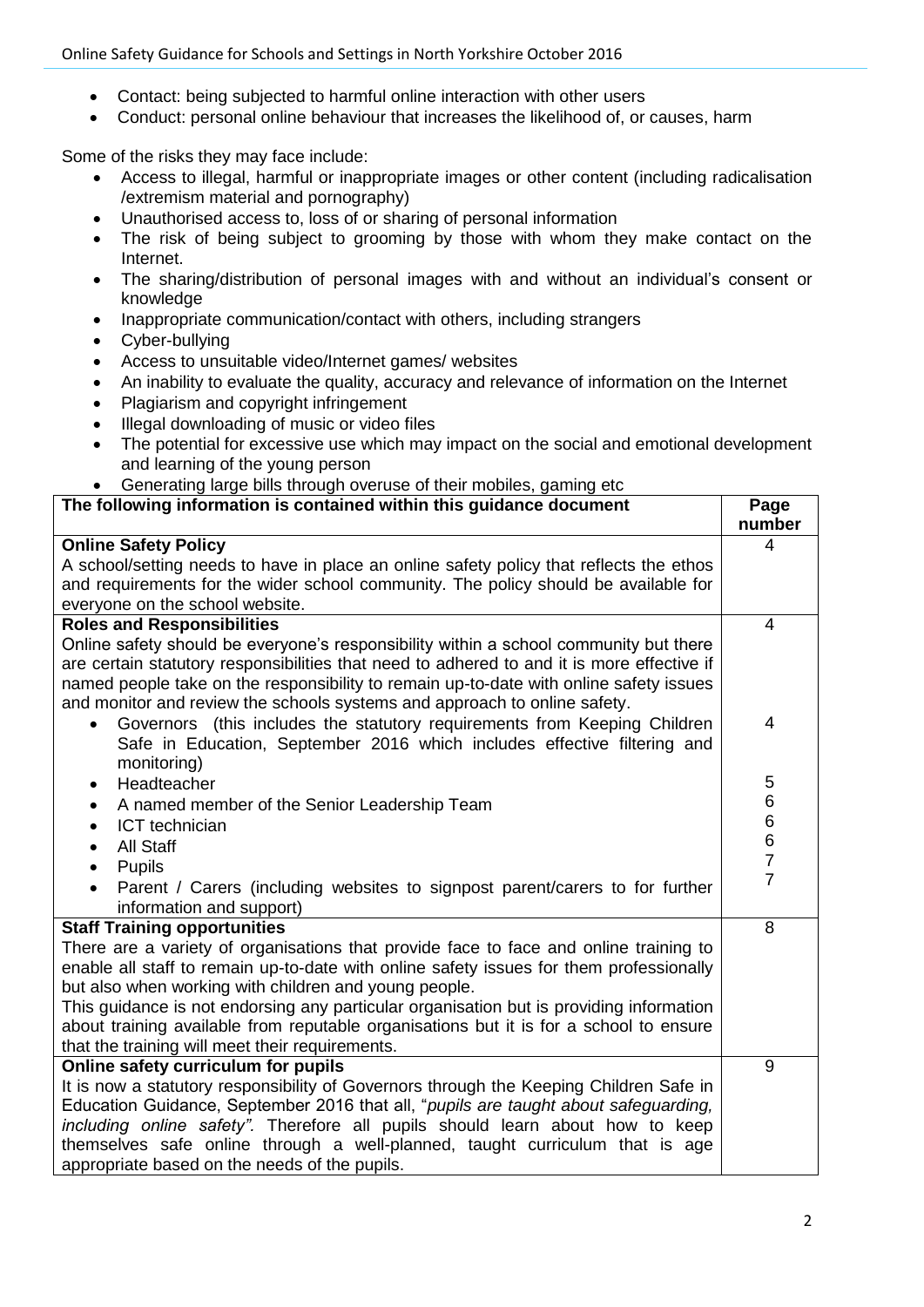- Contact: being subjected to harmful online interaction with other users
- Conduct: personal online behaviour that increases the likelihood of, or causes, harm

Some of the risks they may face include:

- Access to illegal, harmful or inappropriate images or other content (including radicalisation /extremism material and pornography)
- Unauthorised access to, loss of or sharing of personal information
- The risk of being subject to grooming by those with whom they make contact on the Internet.
- The sharing/distribution of personal images with and without an individual's consent or knowledge
- Inappropriate communication/contact with others, including strangers
- Cyber-bullying
- Access to unsuitable video/Internet games/ websites
- An inability to evaluate the quality, accuracy and relevance of information on the Internet
- Plagiarism and copyright infringement
- Illegal downloading of music or video files
- The potential for excessive use which may impact on the social and emotional development and learning of the young person
- Generating large bills through overuse of their mobiles, gaming etc

| The following information is contained within this guidance document                                                                                          | Page   |
|---------------------------------------------------------------------------------------------------------------------------------------------------------------|--------|
|                                                                                                                                                               | number |
| <b>Online Safety Policy</b>                                                                                                                                   | 4      |
| A school/setting needs to have in place an online safety policy that reflects the ethos                                                                       |        |
| and requirements for the wider school community. The policy should be available for                                                                           |        |
| everyone on the school website.                                                                                                                               |        |
| <b>Roles and Responsibilities</b>                                                                                                                             | 4      |
| Online safety should be everyone's responsibility within a school community but there                                                                         |        |
| are certain statutory responsibilities that need to adhered to and it is more effective if                                                                    |        |
| named people take on the responsibility to remain up-to-date with online safety issues                                                                        |        |
| and monitor and review the schools systems and approach to online safety.                                                                                     |        |
| Governors (this includes the statutory requirements from Keeping Children                                                                                     | 4      |
| Safe in Education, September 2016 which includes effective filtering and                                                                                      |        |
| monitoring)                                                                                                                                                   |        |
| Headteacher<br>$\bullet$                                                                                                                                      | 5      |
| A named member of the Senior Leadership Team<br>$\bullet$                                                                                                     | 6      |
| ICT technician<br>$\bullet$                                                                                                                                   |        |
| <b>All Staff</b><br>$\bullet$                                                                                                                                 | 6677   |
| <b>Pupils</b><br>$\bullet$                                                                                                                                    |        |
| Parent / Carers (including websites to signpost parent/carers to for further                                                                                  |        |
| information and support)                                                                                                                                      |        |
| <b>Staff Training opportunities</b>                                                                                                                           | 8      |
| There are a variety of organisations that provide face to face and online training to                                                                         |        |
| enable all staff to remain up-to-date with online safety issues for them professionally                                                                       |        |
| but also when working with children and young people.                                                                                                         |        |
| This guidance is not endorsing any particular organisation but is providing information                                                                       |        |
| about training available from reputable organisations but it is for a school to ensure                                                                        |        |
| that the training will meet their requirements.                                                                                                               |        |
| Online safety curriculum for pupils                                                                                                                           | 9      |
| It is now a statutory responsibility of Governors through the Keeping Children Safe in                                                                        |        |
| Education Guidance, September 2016 that all, "pupils are taught about safeguarding,                                                                           |        |
| including online safety". Therefore all pupils should learn about how to keep<br>themselves safe online through a well-planned, taught curriculum that is age |        |
|                                                                                                                                                               |        |
| appropriate based on the needs of the pupils.                                                                                                                 |        |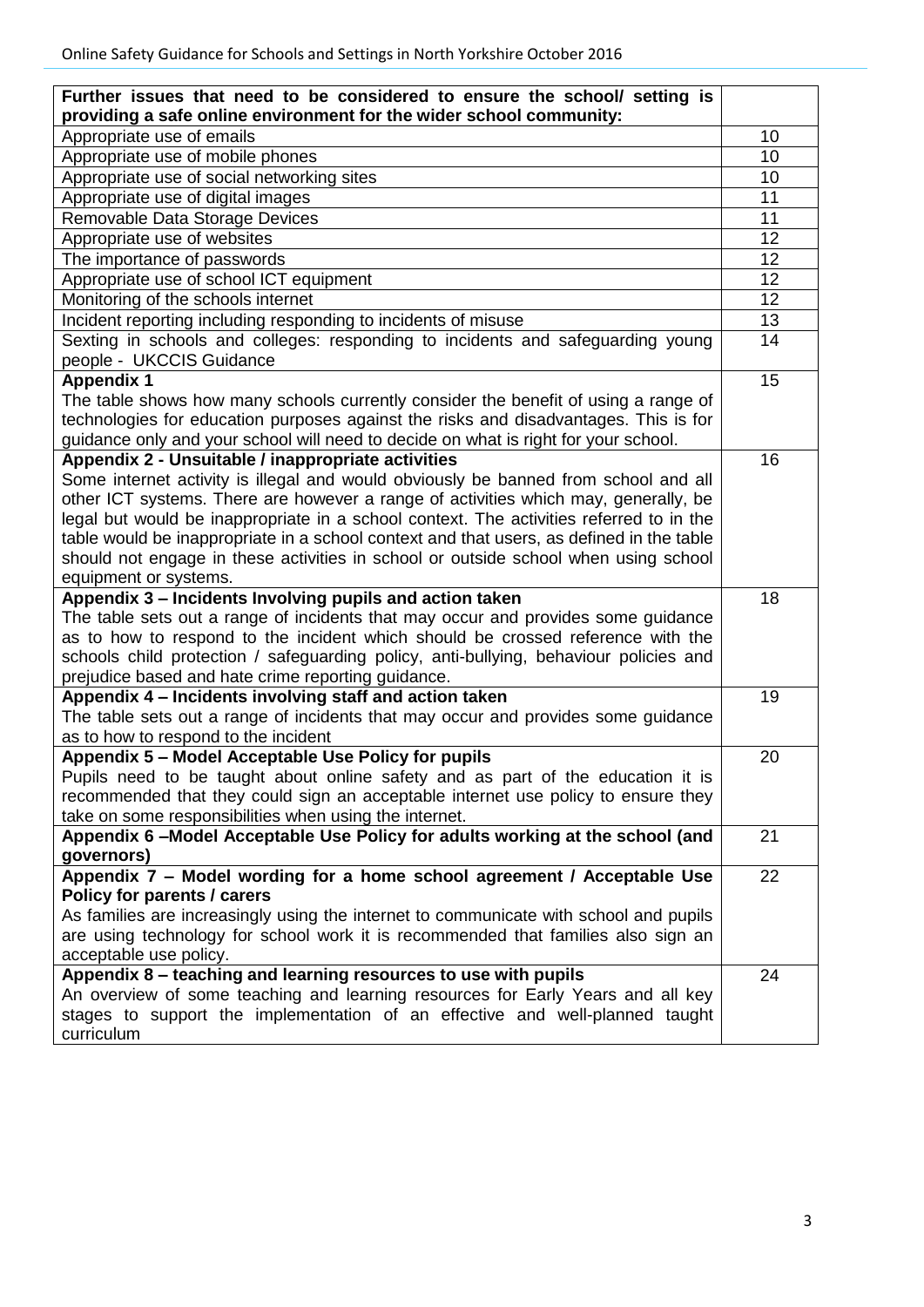| Further issues that need to be considered to ensure the school/ setting is               |    |
|------------------------------------------------------------------------------------------|----|
| providing a safe online environment for the wider school community:                      |    |
| Appropriate use of emails                                                                | 10 |
| Appropriate use of mobile phones                                                         | 10 |
| Appropriate use of social networking sites                                               | 10 |
| Appropriate use of digital images                                                        | 11 |
| Removable Data Storage Devices                                                           | 11 |
| Appropriate use of websites                                                              | 12 |
| The importance of passwords                                                              | 12 |
| Appropriate use of school ICT equipment                                                  | 12 |
| Monitoring of the schools internet                                                       | 12 |
| Incident reporting including responding to incidents of misuse                           | 13 |
| Sexting in schools and colleges: responding to incidents and safeguarding young          | 14 |
| people - UKCCIS Guidance                                                                 |    |
| <b>Appendix 1</b>                                                                        | 15 |
| The table shows how many schools currently consider the benefit of using a range of      |    |
| technologies for education purposes against the risks and disadvantages. This is for     |    |
| guidance only and your school will need to decide on what is right for your school.      |    |
| Appendix 2 - Unsuitable / inappropriate activities                                       | 16 |
| Some internet activity is illegal and would obviously be banned from school and all      |    |
| other ICT systems. There are however a range of activities which may, generally, be      |    |
| legal but would be inappropriate in a school context. The activities referred to in the  |    |
| table would be inappropriate in a school context and that users, as defined in the table |    |
| should not engage in these activities in school or outside school when using school      |    |
| equipment or systems.                                                                    |    |
| Appendix 3 - Incidents Involving pupils and action taken                                 | 18 |
| The table sets out a range of incidents that may occur and provides some guidance        |    |
| as to how to respond to the incident which should be crossed reference with the          |    |
| schools child protection / safeguarding policy, anti-bullying, behaviour policies and    |    |
| prejudice based and hate crime reporting guidance.                                       |    |
| Appendix 4 - Incidents involving staff and action taken                                  | 19 |
| The table sets out a range of incidents that may occur and provides some guidance        |    |
| as to how to respond to the incident                                                     |    |
| Appendix 5 - Model Acceptable Use Policy for pupils                                      | 20 |
| Pupils need to be taught about online safety and as part of the education it is          |    |
| recommended that they could sign an acceptable internet use policy to ensure they        |    |
| take on some responsibilities when using the internet.                                   |    |
| Appendix 6 -Model Acceptable Use Policy for adults working at the school (and            | 21 |
| governors)                                                                               |    |
| Appendix 7 - Model wording for a home school agreement / Acceptable Use                  | 22 |
| Policy for parents / carers                                                              |    |
| As families are increasingly using the internet to communicate with school and pupils    |    |
| are using technology for school work it is recommended that families also sign an        |    |
| acceptable use policy.                                                                   |    |
| Appendix 8 - teaching and learning resources to use with pupils                          | 24 |
| An overview of some teaching and learning resources for Early Years and all key          |    |
| stages to support the implementation of an effective and well-planned taught             |    |
| curriculum                                                                               |    |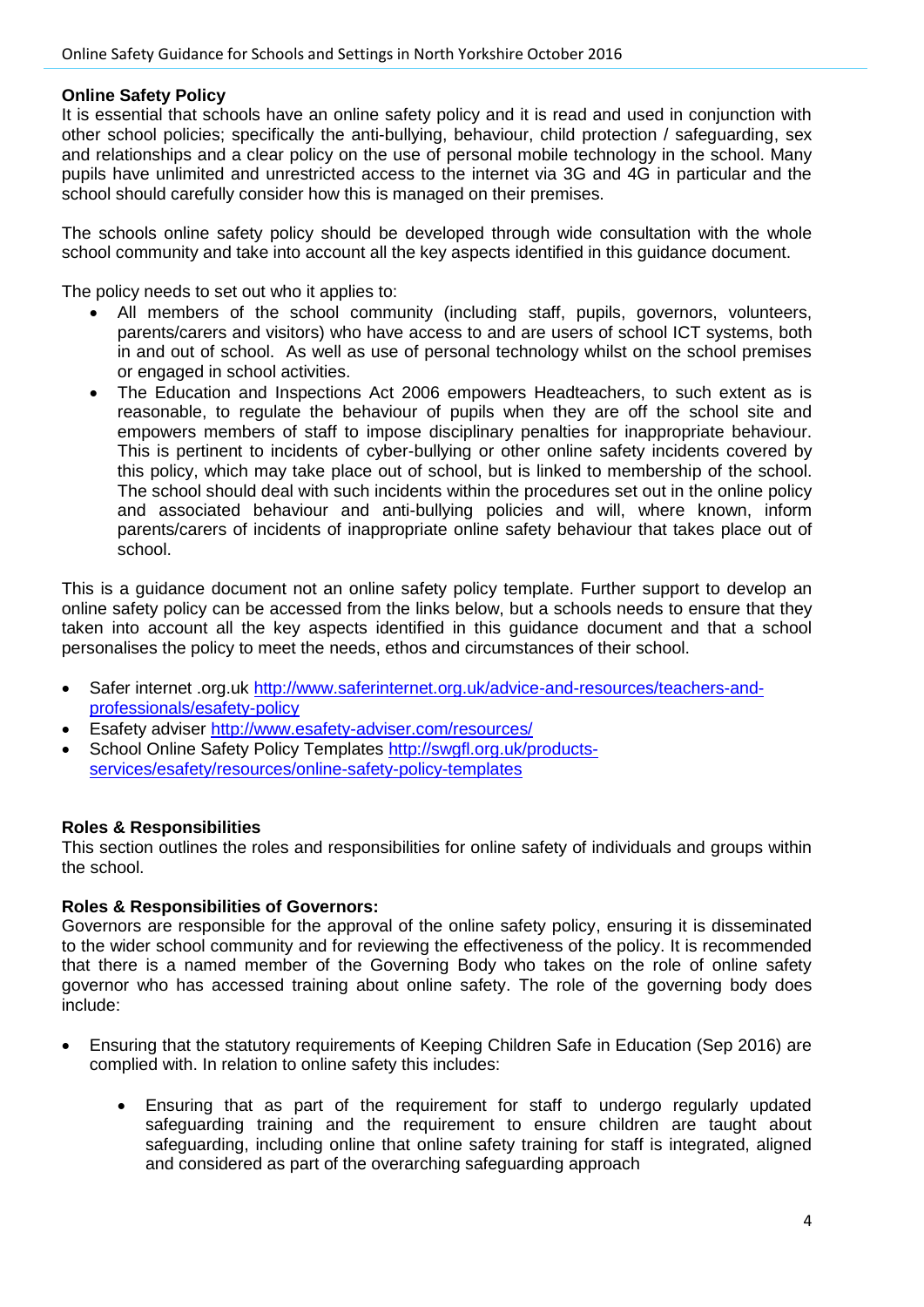## **Online Safety Policy**

It is essential that schools have an online safety policy and it is read and used in conjunction with other school policies; specifically the anti-bullying, behaviour, child protection / safeguarding, sex and relationships and a clear policy on the use of personal mobile technology in the school. Many pupils have unlimited and unrestricted access to the internet via 3G and 4G in particular and the school should carefully consider how this is managed on their premises.

The schools online safety policy should be developed through wide consultation with the whole school community and take into account all the key aspects identified in this guidance document.

The policy needs to set out who it applies to:

- All members of the school community (including staff, pupils, governors, volunteers, parents/carers and visitors) who have access to and are users of school ICT systems, both in and out of school. As well as use of personal technology whilst on the school premises or engaged in school activities.
- The Education and Inspections Act 2006 empowers Headteachers, to such extent as is reasonable, to regulate the behaviour of pupils when they are off the school site and empowers members of staff to impose disciplinary penalties for inappropriate behaviour. This is pertinent to incidents of cyber-bullying or other online safety incidents covered by this policy, which may take place out of school, but is linked to membership of the school. The school should deal with such incidents within the procedures set out in the online policy and associated behaviour and anti-bullying policies and will, where known, inform parents/carers of incidents of inappropriate online safety behaviour that takes place out of school.

This is a guidance document not an online safety policy template. Further support to develop an online safety policy can be accessed from the links below, but a schools needs to ensure that they taken into account all the key aspects identified in this guidance document and that a school personalises the policy to meet the needs, ethos and circumstances of their school.

- Safer internet .org.uk [http://www.saferinternet.org.uk/advice-and-resources/teachers-and](http://www.saferinternet.org.uk/advice-and-resources/teachers-and-professionals/esafety-policy)[professionals/esafety-policy](http://www.saferinternet.org.uk/advice-and-resources/teachers-and-professionals/esafety-policy)
- Esafety adviser <http://www.esafety-adviser.com/resources/>
- School Online Safety Policy Templates [http://swgfl.org.uk/products](http://swgfl.org.uk/products-services/esafety/resources/online-safety-policy-templates)[services/esafety/resources/online-safety-policy-templates](http://swgfl.org.uk/products-services/esafety/resources/online-safety-policy-templates)

# **Roles & Responsibilities**

This section outlines the roles and responsibilities for online safety of individuals and groups within the school.

#### **Roles & Responsibilities of Governors:**

Governors are responsible for the approval of the online safety policy, ensuring it is disseminated to the wider school community and for reviewing the effectiveness of the policy. It is recommended that there is a named member of the Governing Body who takes on the role of online safety governor who has accessed training about online safety. The role of the governing body does include:

- Ensuring that the statutory requirements of Keeping Children Safe in Education (Sep 2016) are complied with. In relation to online safety this includes:
	- Ensuring that as part of the requirement for staff to undergo regularly updated safeguarding training and the requirement to ensure children are taught about safeguarding, including online that online safety training for staff is integrated, aligned and considered as part of the overarching safeguarding approach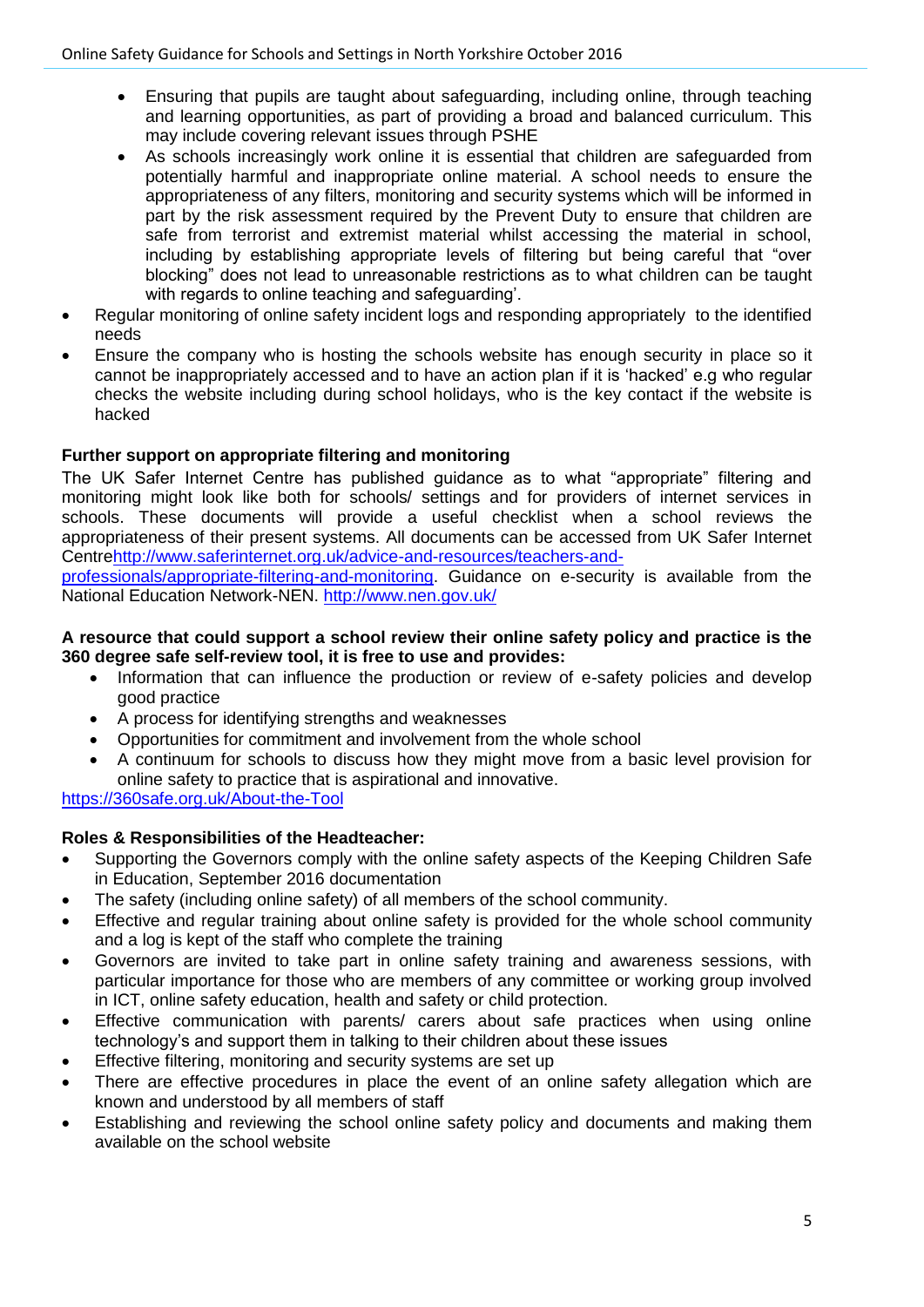- Ensuring that pupils are taught about safeguarding, including online, through teaching and learning opportunities, as part of providing a broad and balanced curriculum. This may include covering relevant issues through PSHE
- As schools increasingly work online it is essential that children are safeguarded from potentially harmful and inappropriate online material. A school needs to ensure the appropriateness of any filters, monitoring and security systems which will be informed in part by the risk assessment required by the Prevent Duty to ensure that children are safe from terrorist and extremist material whilst accessing the material in school, including by establishing appropriate levels of filtering but being careful that "over blocking" does not lead to unreasonable restrictions as to what children can be taught with regards to online teaching and safeguarding'.
- Regular monitoring of online safety incident logs and responding appropriately to the identified needs
- Ensure the company who is hosting the schools website has enough security in place so it cannot be inappropriately accessed and to have an action plan if it is 'hacked' e.g who regular checks the website including during school holidays, who is the key contact if the website is hacked

# **Further support on appropriate filtering and monitoring**

The UK Safer Internet Centre has published guidance as to what "appropriate" filtering and monitoring might look like both for schools/ settings and for providers of internet services in schools. These documents will provide a useful checklist when a school reviews the appropriateness of their present systems. All documents can be accessed from UK Safer Internet Centr[ehttp://www.saferinternet.org.uk/advice-and-resources/teachers-and-](http://www.saferinternet.org.uk/advice-and-resources/teachers-and-professionals/appropriate-filtering-and-monitoring)

[professionals/appropriate-filtering-and-monitoring.](http://www.saferinternet.org.uk/advice-and-resources/teachers-and-professionals/appropriate-filtering-and-monitoring) Guidance on e-security is available from the National Education Network-NEN.<http://www.nen.gov.uk/>

#### **A resource that could support a school review their online safety policy and practice is the 360 degree safe self-review tool, it is free to use and provides:**

- Information that can influence the production or review of e-safety policies and develop good practice
- A process for identifying strengths and weaknesses
- Opportunities for commitment and involvement from the whole school
- A continuum for schools to discuss how they might move from a basic level provision for online safety to practice that is aspirational and innovative.

# <https://360safe.org.uk/About-the-Tool>

# **Roles & Responsibilities of the Headteacher:**

- Supporting the Governors comply with the online safety aspects of the Keeping Children Safe in Education, September 2016 documentation
- The safety (including online safety) of all members of the school community.
- Effective and regular training about online safety is provided for the whole school community and a log is kept of the staff who complete the training
- Governors are invited to take part in online safety training and awareness sessions, with particular importance for those who are members of any committee or working group involved in ICT, online safety education, health and safety or child protection.
- Effective communication with parents/ carers about safe practices when using online technology's and support them in talking to their children about these issues
- **Effective filtering, monitoring and security systems are set up**
- There are effective procedures in place the event of an online safety allegation which are known and understood by all members of staff
- Establishing and reviewing the school online safety policy and documents and making them available on the school website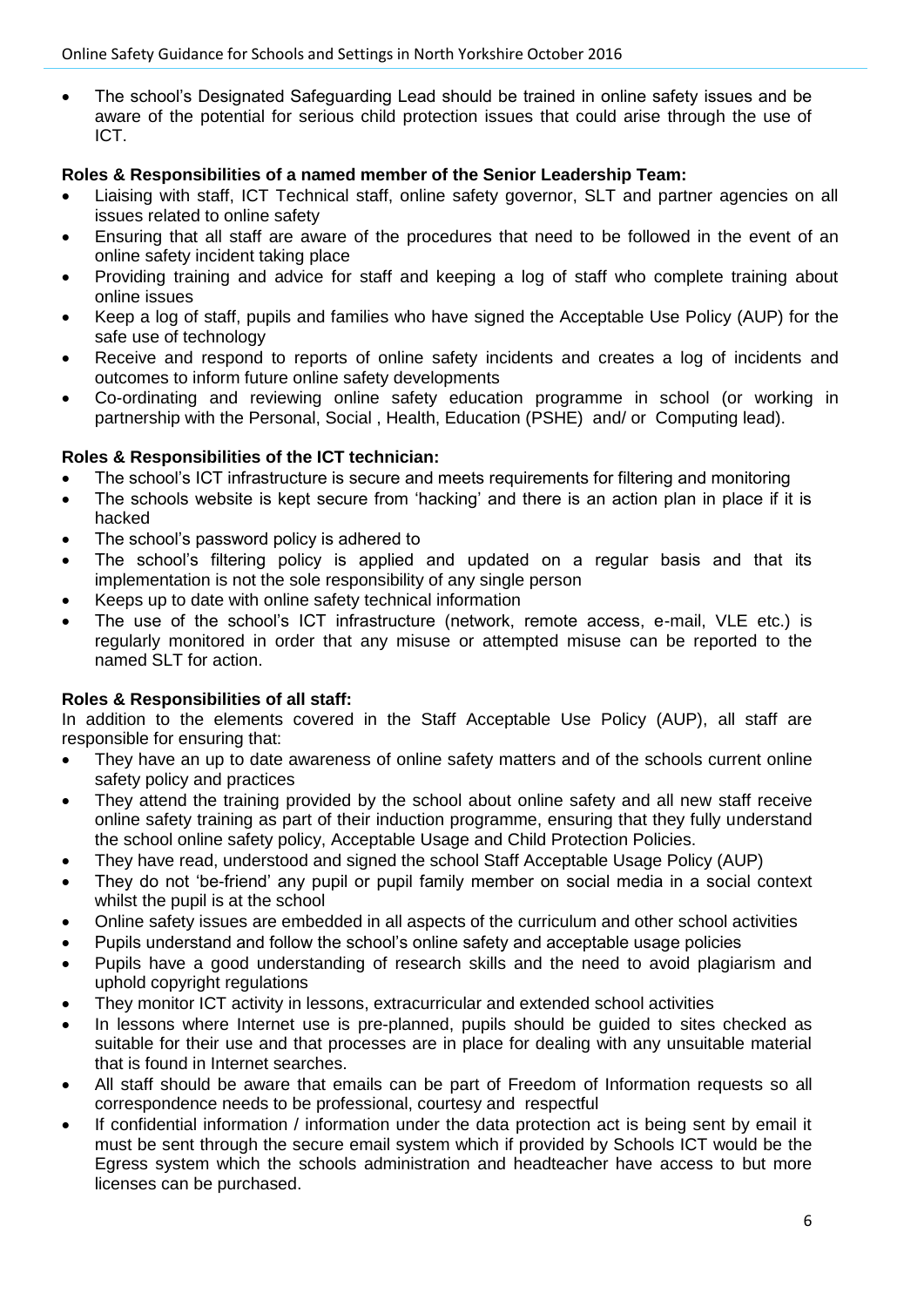• The school's Designated Safeguarding Lead should be trained in online safety issues and be aware of the potential for serious child protection issues that could arise through the use of ICT.

## **Roles & Responsibilities of a named member of the Senior Leadership Team:**

- Liaising with staff, ICT Technical staff, online safety governor, SLT and partner agencies on all issues related to online safety
- Ensuring that all staff are aware of the procedures that need to be followed in the event of an online safety incident taking place
- Providing training and advice for staff and keeping a log of staff who complete training about online issues
- Keep a log of staff, pupils and families who have signed the Acceptable Use Policy (AUP) for the safe use of technology
- Receive and respond to reports of online safety incidents and creates a log of incidents and outcomes to inform future online safety developments
- Co-ordinating and reviewing online safety education programme in school (or working in partnership with the Personal, Social , Health, Education (PSHE) and/ or Computing lead).

## **Roles & Responsibilities of the ICT technician:**

- The school's ICT infrastructure is secure and meets requirements for filtering and monitoring
- The schools website is kept secure from 'hacking' and there is an action plan in place if it is hacked
- The school's password policy is adhered to
- The school's filtering policy is applied and updated on a regular basis and that its implementation is not the sole responsibility of any single person
- Keeps up to date with online safety technical information
- The use of the school's ICT infrastructure (network, remote access, e-mail, VLE etc.) is regularly monitored in order that any misuse or attempted misuse can be reported to the named SLT for action.

# **Roles & Responsibilities of all staff:**

In addition to the elements covered in the Staff Acceptable Use Policy (AUP), all staff are responsible for ensuring that:

- They have an up to date awareness of online safety matters and of the schools current online safety policy and practices
- They attend the training provided by the school about online safety and all new staff receive online safety training as part of their induction programme, ensuring that they fully understand the school online safety policy, Acceptable Usage and Child Protection Policies.
- They have read, understood and signed the school Staff Acceptable Usage Policy (AUP)
- They do not 'be-friend' any pupil or pupil family member on social media in a social context whilst the pupil is at the school
- Online safety issues are embedded in all aspects of the curriculum and other school activities
- Pupils understand and follow the school's online safety and acceptable usage policies
- Pupils have a good understanding of research skills and the need to avoid plagiarism and uphold copyright regulations
- They monitor ICT activity in lessons, extracurricular and extended school activities
- In lessons where Internet use is pre-planned, pupils should be guided to sites checked as suitable for their use and that processes are in place for dealing with any unsuitable material that is found in Internet searches.
- All staff should be aware that emails can be part of Freedom of Information requests so all correspondence needs to be professional, courtesy and respectful
- If confidential information / information under the data protection act is being sent by email it must be sent through the secure email system which if provided by Schools ICT would be the Egress system which the schools administration and headteacher have access to but more licenses can be purchased.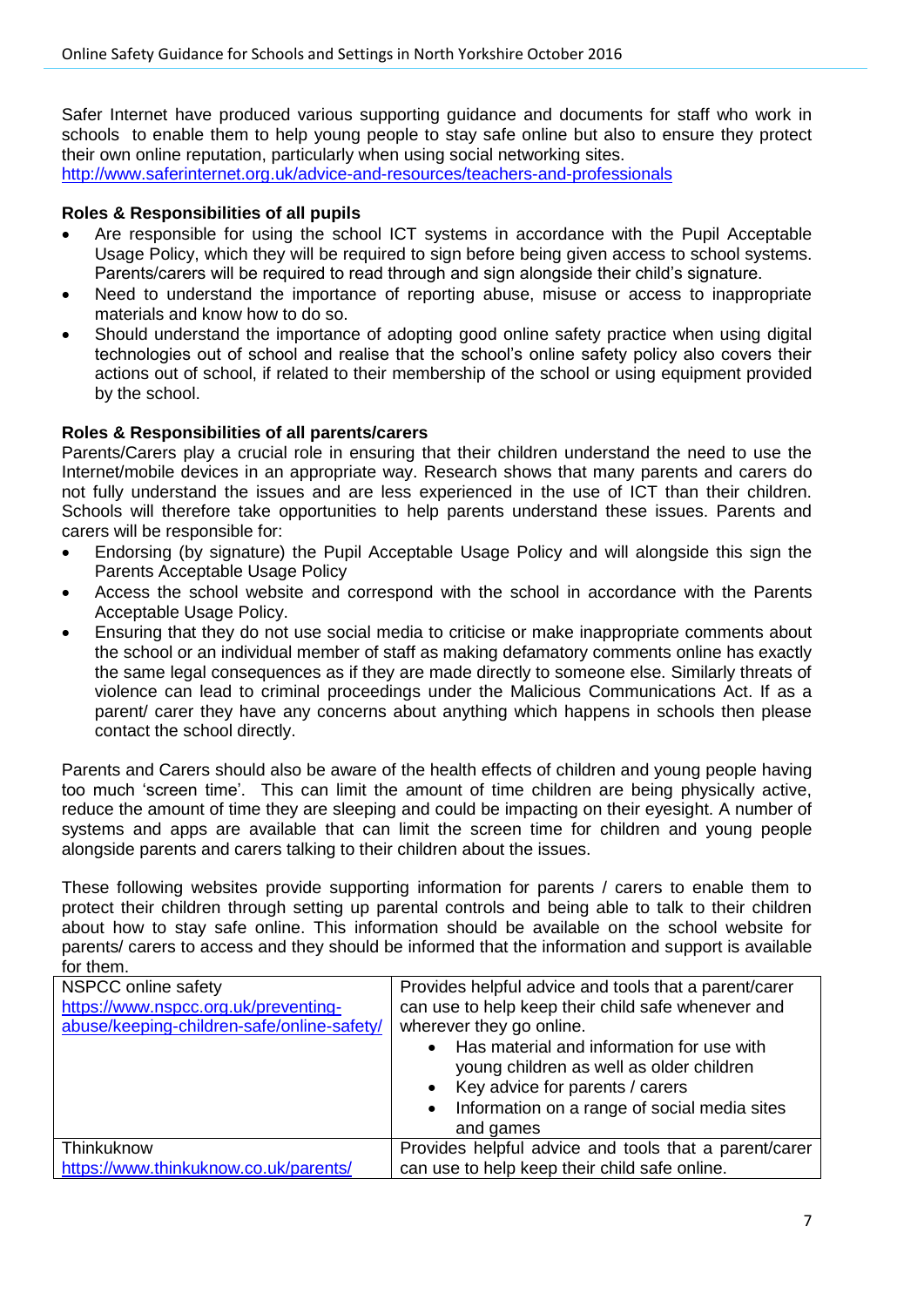Safer Internet have produced various supporting guidance and documents for staff who work in schools to enable them to help young people to stay safe online but also to ensure they protect their own online reputation, particularly when using social networking sites. <http://www.saferinternet.org.uk/advice-and-resources/teachers-and-professionals>

**Roles & Responsibilities of all pupils**

- Are responsible for using the school ICT systems in accordance with the Pupil Acceptable Usage Policy, which they will be required to sign before being given access to school systems. Parents/carers will be required to read through and sign alongside their child's signature.
- Need to understand the importance of reporting abuse, misuse or access to inappropriate materials and know how to do so.
- Should understand the importance of adopting good online safety practice when using digital technologies out of school and realise that the school's online safety policy also covers their actions out of school, if related to their membership of the school or using equipment provided by the school.

#### **Roles & Responsibilities of all parents/carers**

Parents/Carers play a crucial role in ensuring that their children understand the need to use the Internet/mobile devices in an appropriate way. Research shows that many parents and carers do not fully understand the issues and are less experienced in the use of ICT than their children. Schools will therefore take opportunities to help parents understand these issues. Parents and carers will be responsible for:

- Endorsing (by signature) the Pupil Acceptable Usage Policy and will alongside this sign the Parents Acceptable Usage Policy
- Access the school website and correspond with the school in accordance with the Parents Acceptable Usage Policy.
- Ensuring that they do not use social media to criticise or make inappropriate comments about the school or an individual member of staff as making defamatory comments online has exactly the same legal consequences as if they are made directly to someone else. Similarly threats of violence can lead to criminal proceedings under the Malicious Communications Act. If as a parent/ carer they have any concerns about anything which happens in schools then please contact the school directly.

Parents and Carers should also be aware of the health effects of children and young people having too much 'screen time'. This can limit the amount of time children are being physically active, reduce the amount of time they are sleeping and could be impacting on their eyesight. A number of systems and apps are available that can limit the screen time for children and young people alongside parents and carers talking to their children about the issues.

These following websites provide supporting information for parents / carers to enable them to protect their children through setting up parental controls and being able to talk to their children about how to stay safe online. This information should be available on the school website for parents/ carers to access and they should be informed that the information and support is available for them.

| NSPCC online safety<br>https://www.nspcc.org.uk/preventing-<br>abuse/keeping-children-safe/online-safety/ | Provides helpful advice and tools that a parent/carer<br>can use to help keep their child safe whenever and<br>wherever they go online.<br>Has material and information for use with<br>young children as well as older children<br>• Key advice for parents / carers<br>• Information on a range of social media sites<br>and games |
|-----------------------------------------------------------------------------------------------------------|--------------------------------------------------------------------------------------------------------------------------------------------------------------------------------------------------------------------------------------------------------------------------------------------------------------------------------------|
| Thinkuknow                                                                                                | Provides helpful advice and tools that a parent/carer                                                                                                                                                                                                                                                                                |
| https://www.thinkuknow.co.uk/parents/                                                                     | can use to help keep their child safe online.                                                                                                                                                                                                                                                                                        |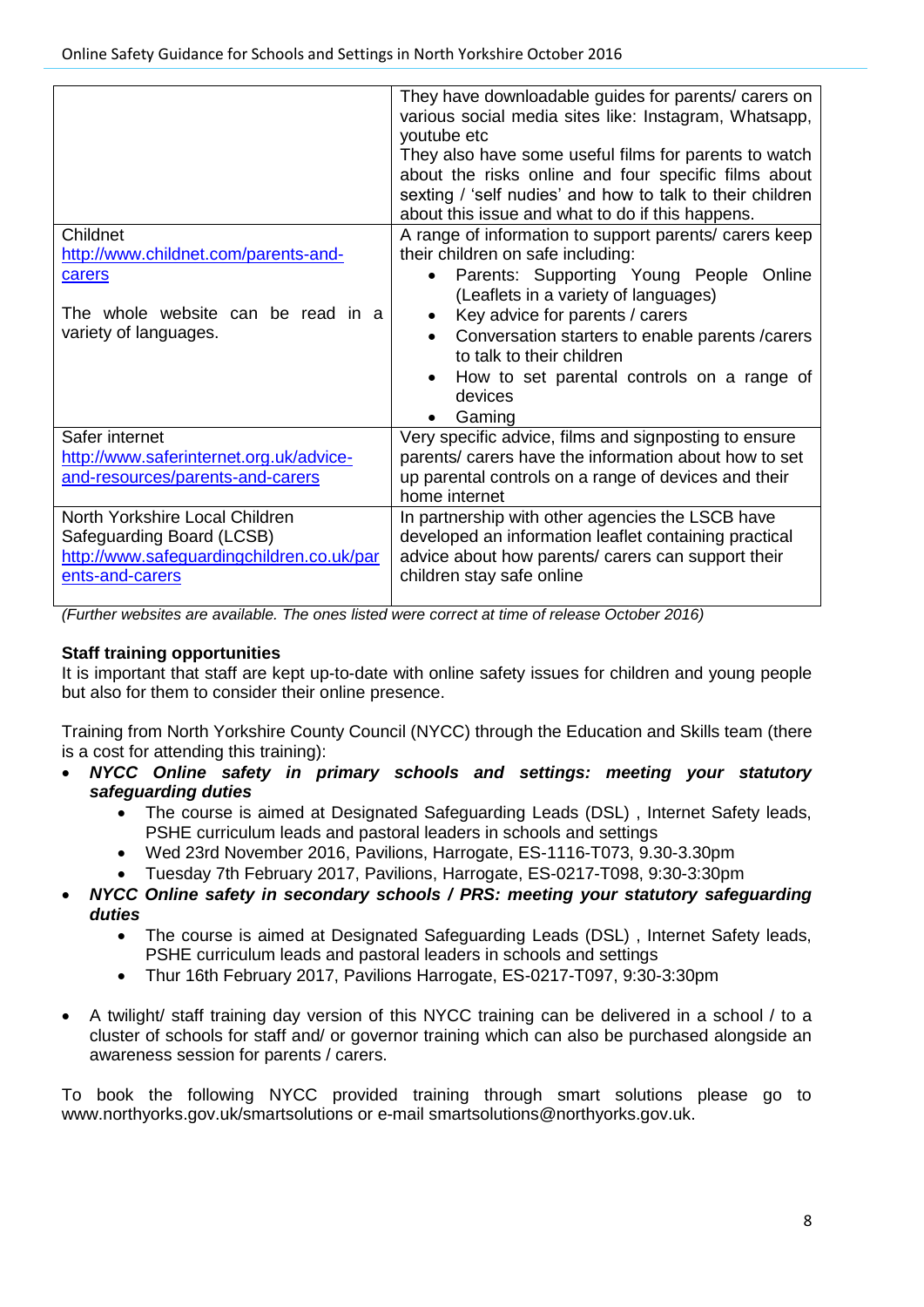| Childnet<br>http://www.childnet.com/parents-and-<br>carers<br>The whole website can be read in a<br>variety of languages.   | They have downloadable guides for parents/ carers on<br>various social media sites like: Instagram, Whatsapp,<br>youtube etc<br>They also have some useful films for parents to watch<br>about the risks online and four specific films about<br>sexting / 'self nudies' and how to talk to their children<br>about this issue and what to do if this happens.<br>A range of information to support parents/ carers keep<br>their children on safe including:<br>Parents: Supporting Young People<br>Online<br>(Leaflets in a variety of languages)<br>Key advice for parents / carers<br>Conversation starters to enable parents / carers<br>$\bullet$<br>to talk to their children<br>How to set parental controls on a range of<br>devices |
|-----------------------------------------------------------------------------------------------------------------------------|-----------------------------------------------------------------------------------------------------------------------------------------------------------------------------------------------------------------------------------------------------------------------------------------------------------------------------------------------------------------------------------------------------------------------------------------------------------------------------------------------------------------------------------------------------------------------------------------------------------------------------------------------------------------------------------------------------------------------------------------------|
|                                                                                                                             | Gaming                                                                                                                                                                                                                                                                                                                                                                                                                                                                                                                                                                                                                                                                                                                                        |
| Safer internet<br>http://www.saferinternet.org.uk/advice-<br>and-resources/parents-and-carers                               | Very specific advice, films and signposting to ensure<br>parents/ carers have the information about how to set<br>up parental controls on a range of devices and their<br>home internet                                                                                                                                                                                                                                                                                                                                                                                                                                                                                                                                                       |
| North Yorkshire Local Children<br>Safeguarding Board (LCSB)<br>http://www.safeguardingchildren.co.uk/par<br>ents-and-carers | In partnership with other agencies the LSCB have<br>developed an information leaflet containing practical<br>advice about how parents/ carers can support their<br>children stay safe online                                                                                                                                                                                                                                                                                                                                                                                                                                                                                                                                                  |

*(Further websites are available. The ones listed were correct at time of release October 2016)*

# **Staff training opportunities**

It is important that staff are kept up-to-date with online safety issues for children and young people but also for them to consider their online presence.

Training from North Yorkshire County Council (NYCC) through the Education and Skills team (there is a cost for attending this training):

- *NYCC Online safety in primary schools and settings: meeting your statutory safeguarding duties*
	- The course is aimed at Designated Safeguarding Leads (DSL) , Internet Safety leads, PSHE curriculum leads and pastoral leaders in schools and settings
	- Wed 23rd November 2016, Pavilions, Harrogate, ES-1116-T073, 9.30-3.30pm
	- Tuesday 7th February 2017, Pavilions, Harrogate, ES-0217-T098, 9:30-3:30pm
- *NYCC Online safety in secondary schools / PRS: meeting your statutory safeguarding duties*
	- The course is aimed at Designated Safeguarding Leads (DSL) , Internet Safety leads, PSHE curriculum leads and pastoral leaders in schools and settings
	- Thur 16th February 2017, Pavilions Harrogate, ES-0217-T097, 9:30-3:30pm
- A twilight/ staff training day version of this NYCC training can be delivered in a school / to a cluster of schools for staff and/ or governor training which can also be purchased alongside an awareness session for parents / carers.

To book the following NYCC provided training through smart solutions please go to www.northyorks.gov.uk/smartsolutions or e-mail smartsolutions@northyorks.gov.uk.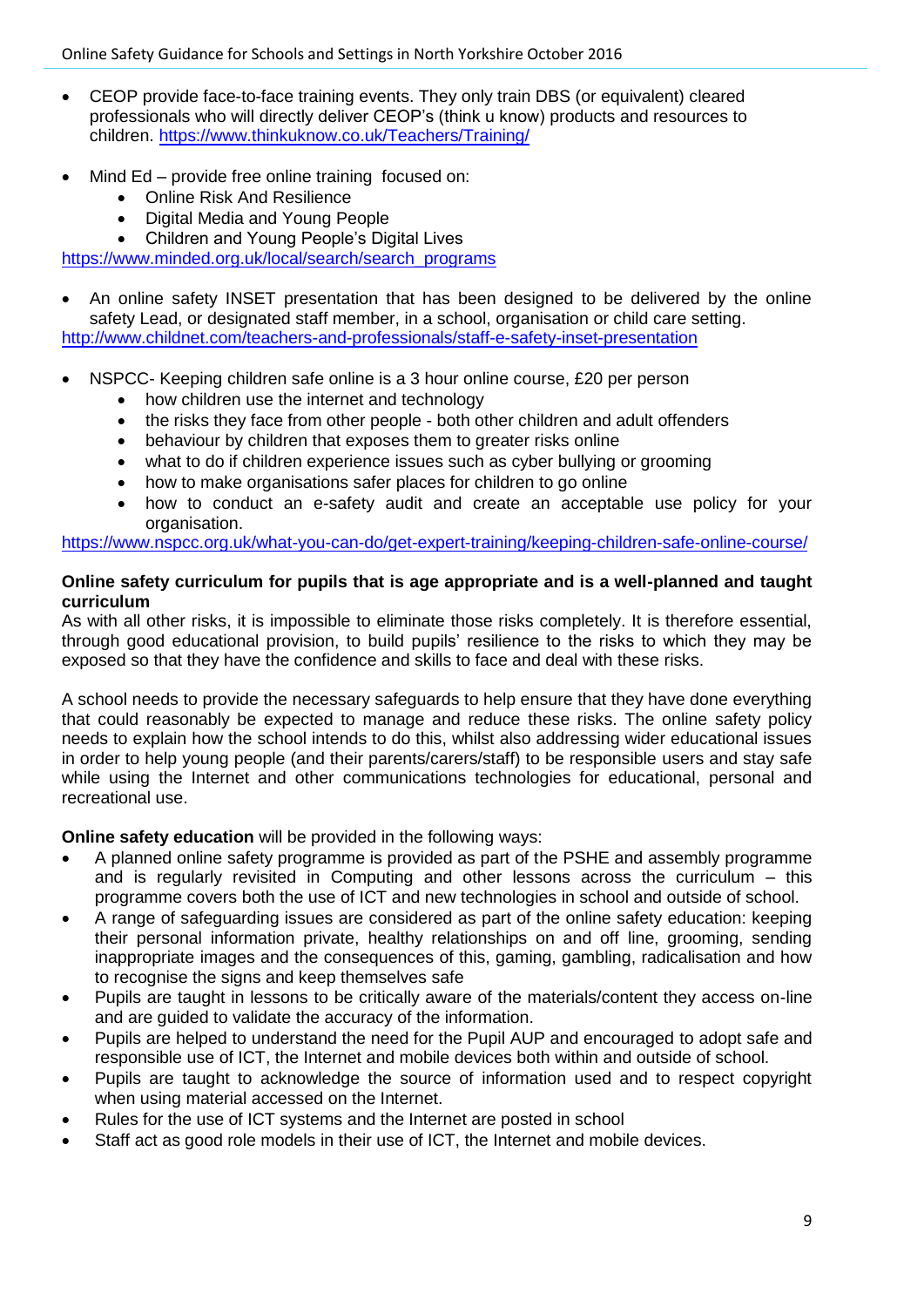- CEOP provide face-to-face training events. They only train DBS (or equivalent) cleared professionals who will directly deliver CEOP's (think u know) products and resources to children.<https://www.thinkuknow.co.uk/Teachers/Training/>
- Mind Ed provide free online training focused on:
	- Online Risk And Resilience
	- Digital Media and Young People
	- Children and Young People's Digital Lives

[https://www.minded.org.uk/local/search/search\\_programs](https://www.minded.org.uk/local/search/search_programs)

- An online safety INSET presentation that has been designed to be delivered by the online safety Lead, or designated staff member, in a school, organisation or child care setting. <http://www.childnet.com/teachers-and-professionals/staff-e-safety-inset-presentation>
- NSPCC- Keeping children safe online is a 3 hour online course, £20 per person
	- how children use the internet and technology
	- the risks they face from other people both other children and adult offenders
	- behaviour by children that exposes them to greater risks online
	- what to do if children experience issues such as cyber bullying or grooming
	- how to make organisations safer places for children to go online
	- how to conduct an e-safety audit and create an acceptable use policy for your organisation.

<https://www.nspcc.org.uk/what-you-can-do/get-expert-training/keeping-children-safe-online-course/>

#### **Online safety curriculum for pupils that is age appropriate and is a well-planned and taught curriculum**

As with all other risks, it is impossible to eliminate those risks completely. It is therefore essential, through good educational provision, to build pupils' resilience to the risks to which they may be exposed so that they have the confidence and skills to face and deal with these risks.

A school needs to provide the necessary safeguards to help ensure that they have done everything that could reasonably be expected to manage and reduce these risks. The online safety policy needs to explain how the school intends to do this, whilst also addressing wider educational issues in order to help young people (and their parents/carers/staff) to be responsible users and stay safe while using the Internet and other communications technologies for educational, personal and recreational use.

**Online safety education** will be provided in the following ways:

- A planned online safety programme is provided as part of the PSHE and assembly programme and is regularly revisited in Computing and other lessons across the curriculum – this programme covers both the use of ICT and new technologies in school and outside of school.
- A range of safeguarding issues are considered as part of the online safety education: keeping their personal information private, healthy relationships on and off line, grooming, sending inappropriate images and the consequences of this, gaming, gambling, radicalisation and how to recognise the signs and keep themselves safe
- Pupils are taught in lessons to be critically aware of the materials/content they access on-line and are guided to validate the accuracy of the information.
- Pupils are helped to understand the need for the Pupil AUP and encouraged to adopt safe and responsible use of ICT, the Internet and mobile devices both within and outside of school.
- Pupils are taught to acknowledge the source of information used and to respect copyright when using material accessed on the Internet.
- Rules for the use of ICT systems and the Internet are posted in school
- Staff act as good role models in their use of ICT, the Internet and mobile devices.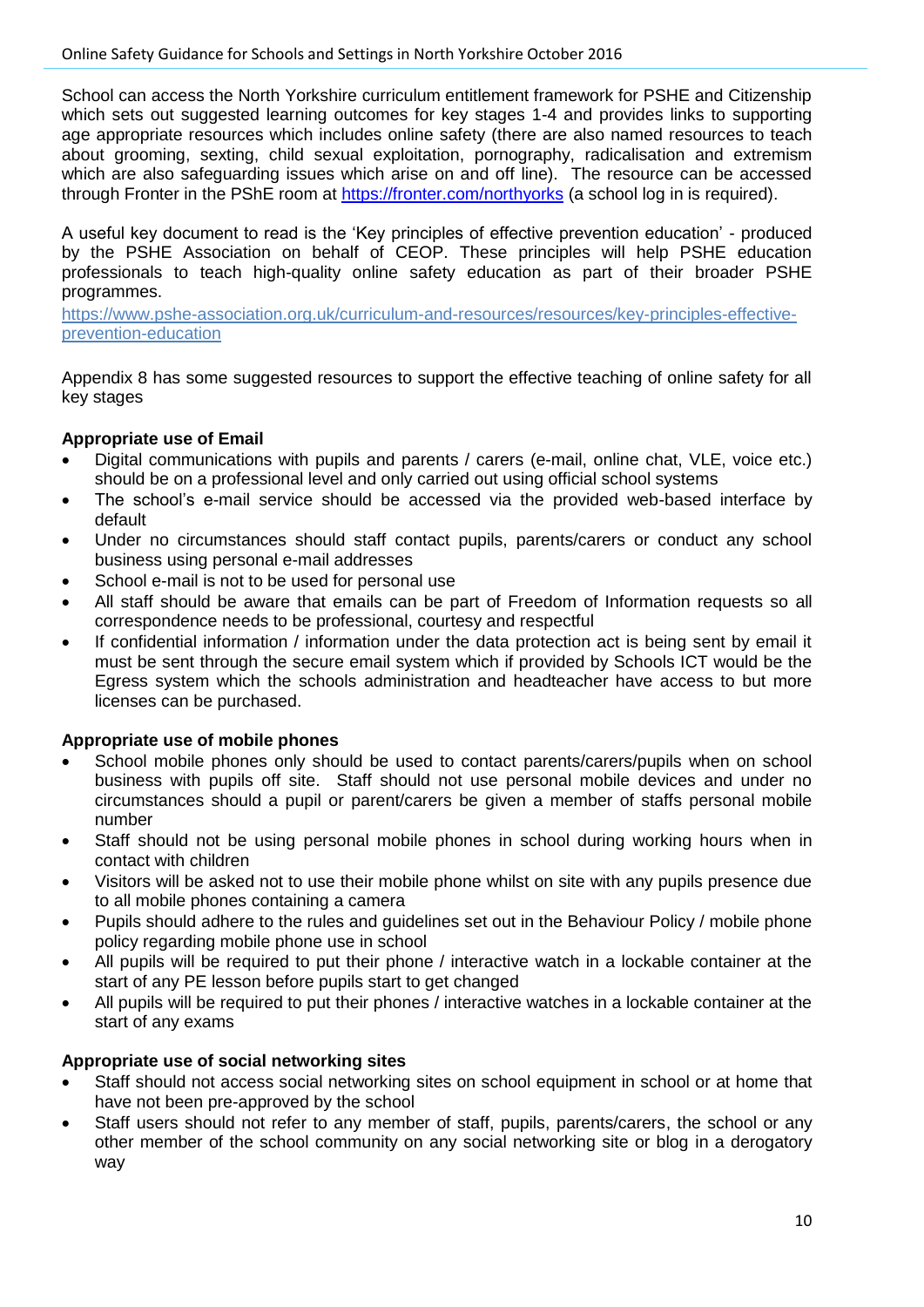School can access the North Yorkshire curriculum entitlement framework for PSHE and Citizenship which sets out suggested learning outcomes for key stages 1-4 and provides links to supporting age appropriate resources which includes online safety (there are also named resources to teach about grooming, sexting, child sexual exploitation, pornography, radicalisation and extremism which are also safeguarding issues which arise on and off line). The resource can be accessed through Fronter in the PShE room at<https://fronter.com/northyorks> (a school log in is required).

A useful key document to read is the 'Key principles of effective prevention education' - produced by the PSHE Association on behalf of CEOP. These principles will help PSHE education professionals to teach high-quality online safety education as part of their broader PSHE programmes.

[https://www.pshe-association.org.uk/curriculum-and-resources/resources/key-principles-effective](https://www.pshe-association.org.uk/curriculum-and-resources/resources/key-principles-effective-prevention-education)[prevention-education](https://www.pshe-association.org.uk/curriculum-and-resources/resources/key-principles-effective-prevention-education)

Appendix 8 has some suggested resources to support the effective teaching of online safety for all key stages

## **Appropriate use of Email**

- Digital communications with pupils and parents / carers (e-mail, online chat, VLE, voice etc.) should be on a professional level and only carried out using official school systems
- The school's e-mail service should be accessed via the provided web-based interface by default
- Under no circumstances should staff contact pupils, parents/carers or conduct any school business using personal e-mail addresses
- School e-mail is not to be used for personal use
- All staff should be aware that emails can be part of Freedom of Information requests so all correspondence needs to be professional, courtesy and respectful
- If confidential information / information under the data protection act is being sent by email it must be sent through the secure email system which if provided by Schools ICT would be the Egress system which the schools administration and headteacher have access to but more licenses can be purchased.

# **Appropriate use of mobile phones**

- School mobile phones only should be used to contact parents/carers/pupils when on school business with pupils off site. Staff should not use personal mobile devices and under no circumstances should a pupil or parent/carers be given a member of staffs personal mobile number
- Staff should not be using personal mobile phones in school during working hours when in contact with children
- Visitors will be asked not to use their mobile phone whilst on site with any pupils presence due to all mobile phones containing a camera
- Pupils should adhere to the rules and guidelines set out in the Behaviour Policy / mobile phone policy regarding mobile phone use in school
- All pupils will be required to put their phone / interactive watch in a lockable container at the start of any PE lesson before pupils start to get changed
- All pupils will be required to put their phones / interactive watches in a lockable container at the start of any exams

# **Appropriate use of social networking sites**

- Staff should not access social networking sites on school equipment in school or at home that have not been pre-approved by the school
- Staff users should not refer to any member of staff, pupils, parents/carers, the school or any other member of the school community on any social networking site or blog in a derogatory way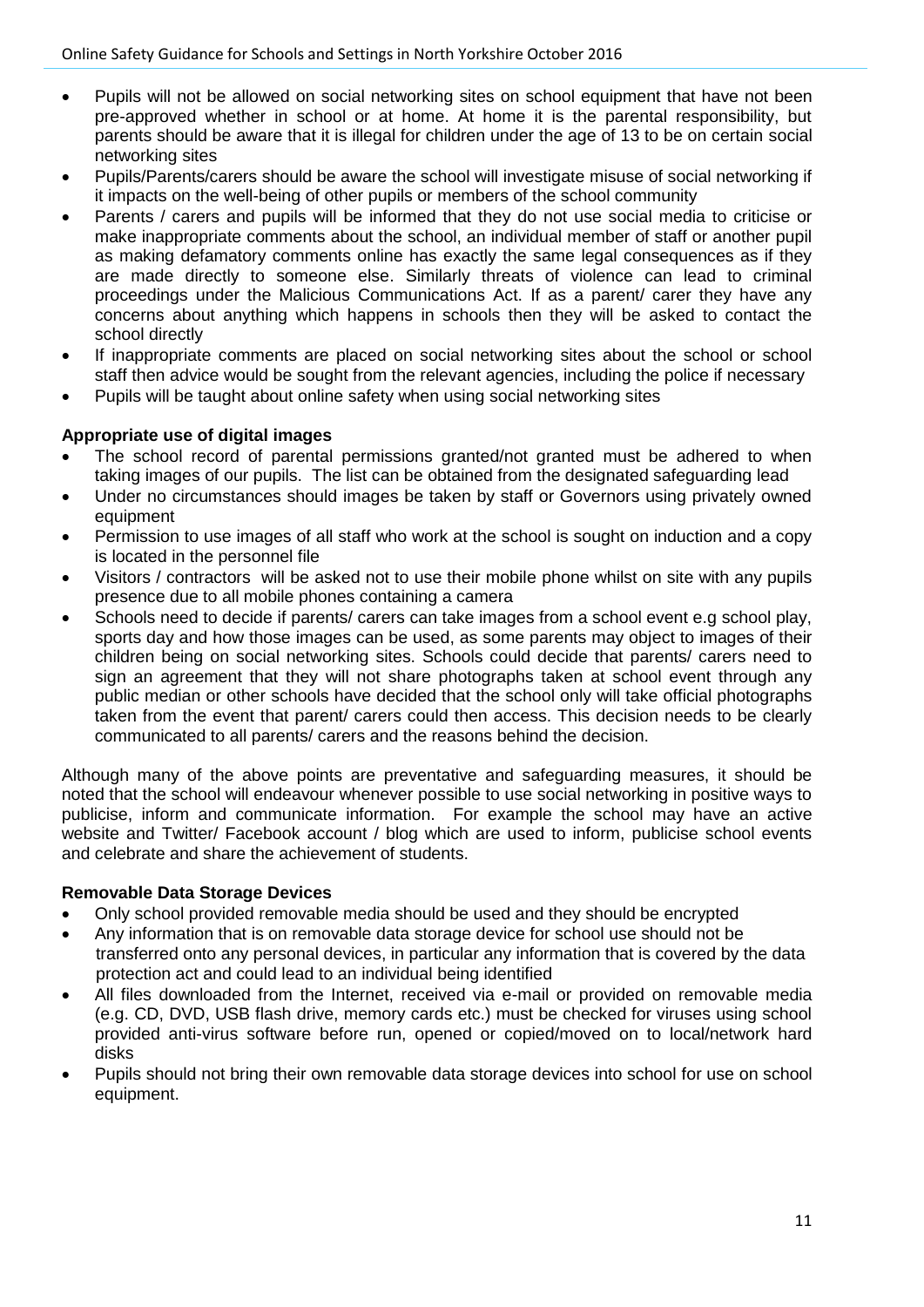- Pupils will not be allowed on social networking sites on school equipment that have not been pre-approved whether in school or at home. At home it is the parental responsibility, but parents should be aware that it is illegal for children under the age of 13 to be on certain social networking sites
- Pupils/Parents/carers should be aware the school will investigate misuse of social networking if it impacts on the well-being of other pupils or members of the school community
- Parents / carers and pupils will be informed that they do not use social media to criticise or make inappropriate comments about the school, an individual member of staff or another pupil as making defamatory comments online has exactly the same legal consequences as if they are made directly to someone else. Similarly threats of violence can lead to criminal proceedings under the Malicious Communications Act. If as a parent/ carer they have any concerns about anything which happens in schools then they will be asked to contact the school directly
- If inappropriate comments are placed on social networking sites about the school or school staff then advice would be sought from the relevant agencies, including the police if necessary
- Pupils will be taught about online safety when using social networking sites

#### **Appropriate use of digital images**

- The school record of parental permissions granted/not granted must be adhered to when taking images of our pupils. The list can be obtained from the designated safeguarding lead
- Under no circumstances should images be taken by staff or Governors using privately owned equipment
- Permission to use images of all staff who work at the school is sought on induction and a copy is located in the personnel file
- Visitors / contractors will be asked not to use their mobile phone whilst on site with any pupils presence due to all mobile phones containing a camera
- Schools need to decide if parents/ carers can take images from a school event e.g school play, sports day and how those images can be used, as some parents may object to images of their children being on social networking sites. Schools could decide that parents/ carers need to sign an agreement that they will not share photographs taken at school event through any public median or other schools have decided that the school only will take official photographs taken from the event that parent/ carers could then access. This decision needs to be clearly communicated to all parents/ carers and the reasons behind the decision.

Although many of the above points are preventative and safeguarding measures, it should be noted that the school will endeavour whenever possible to use social networking in positive ways to publicise, inform and communicate information. For example the school may have an active website and Twitter/ Facebook account / blog which are used to inform, publicise school events and celebrate and share the achievement of students.

#### **Removable Data Storage Devices**

- Only school provided removable media should be used and they should be encrypted
- Any information that is on removable data storage device for school use should not be transferred onto any personal devices, in particular any information that is covered by the data protection act and could lead to an individual being identified
- All files downloaded from the Internet, received via e-mail or provided on removable media (e.g. CD, DVD, USB flash drive, memory cards etc.) must be checked for viruses using school provided anti-virus software before run, opened or copied/moved on to local/network hard disks
- Pupils should not bring their own removable data storage devices into school for use on school equipment.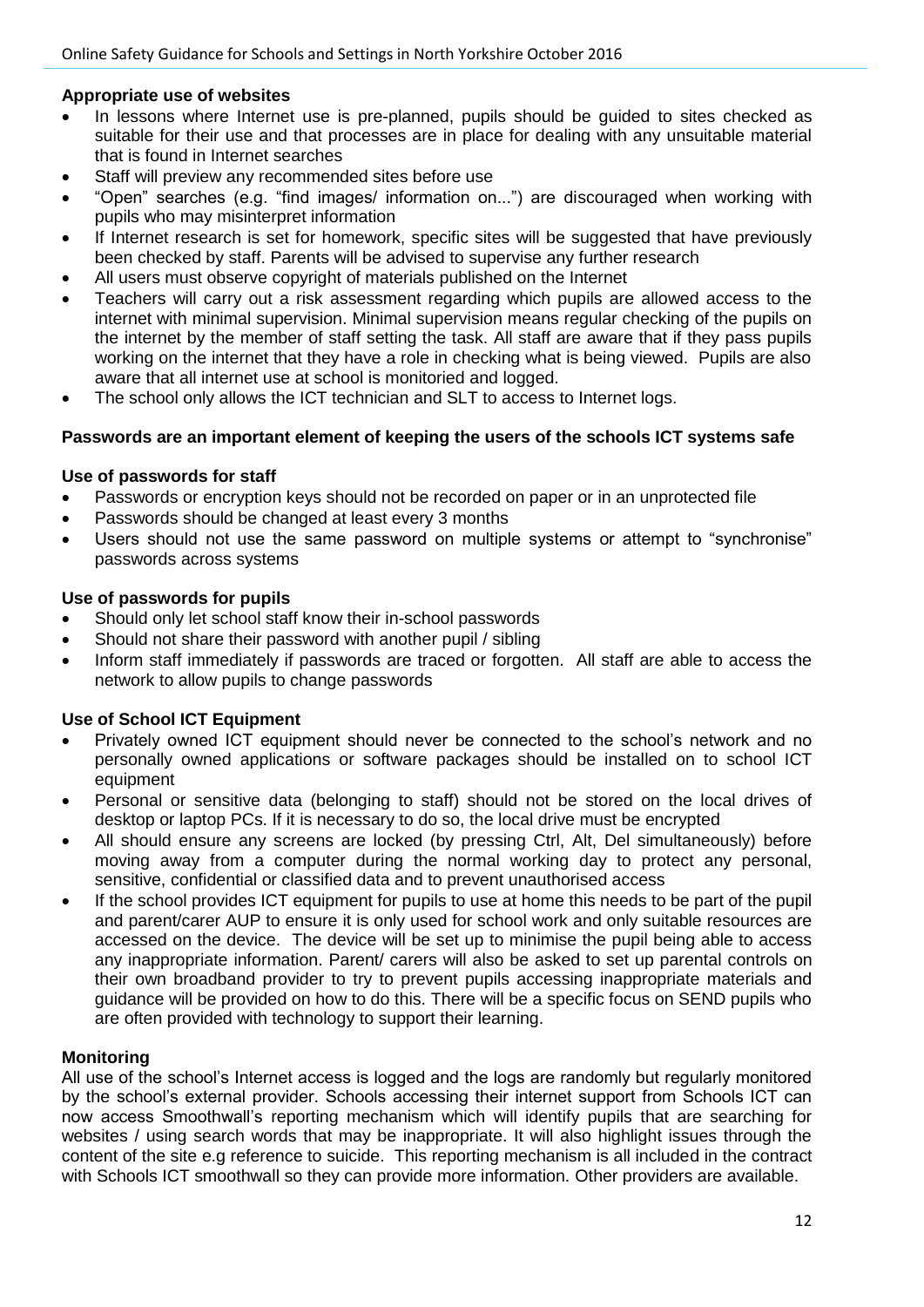# **Appropriate use of websites**

- In lessons where Internet use is pre-planned, pupils should be guided to sites checked as suitable for their use and that processes are in place for dealing with any unsuitable material that is found in Internet searches
- Staff will preview any recommended sites before use
- "Open" searches (e.g. "find images/ information on...") are discouraged when working with pupils who may misinterpret information
- If Internet research is set for homework, specific sites will be suggested that have previously been checked by staff. Parents will be advised to supervise any further research
- All users must observe copyright of materials published on the Internet
- Teachers will carry out a risk assessment regarding which pupils are allowed access to the internet with minimal supervision. Minimal supervision means regular checking of the pupils on the internet by the member of staff setting the task. All staff are aware that if they pass pupils working on the internet that they have a role in checking what is being viewed. Pupils are also aware that all internet use at school is monitoried and logged.
- The school only allows the ICT technician and SLT to access to Internet logs.

## **Passwords are an important element of keeping the users of the schools ICT systems safe**

## **Use of passwords for staff**

- Passwords or encryption keys should not be recorded on paper or in an unprotected file
- Passwords should be changed at least every 3 months
- Users should not use the same password on multiple systems or attempt to "synchronise" passwords across systems

## **Use of passwords for pupils**

- Should only let school staff know their in-school passwords
- Should not share their password with another pupil / sibling
- Inform staff immediately if passwords are traced or forgotten. All staff are able to access the network to allow pupils to change passwords

# **Use of School ICT Equipment**

- Privately owned ICT equipment should never be connected to the school's network and no personally owned applications or software packages should be installed on to school ICT equipment
- Personal or sensitive data (belonging to staff) should not be stored on the local drives of desktop or laptop PCs. If it is necessary to do so, the local drive must be encrypted
- All should ensure any screens are locked (by pressing Ctrl, Alt, Del simultaneously) before moving away from a computer during the normal working day to protect any personal, sensitive, confidential or classified data and to prevent unauthorised access
- If the school provides ICT equipment for pupils to use at home this needs to be part of the pupil and parent/carer AUP to ensure it is only used for school work and only suitable resources are accessed on the device. The device will be set up to minimise the pupil being able to access any inappropriate information. Parent/ carers will also be asked to set up parental controls on their own broadband provider to try to prevent pupils accessing inappropriate materials and guidance will be provided on how to do this. There will be a specific focus on SEND pupils who are often provided with technology to support their learning.

#### **Monitoring**

All use of the school's Internet access is logged and the logs are randomly but regularly monitored by the school's external provider. Schools accessing their internet support from Schools ICT can now access Smoothwall's reporting mechanism which will identify pupils that are searching for websites / using search words that may be inappropriate. It will also highlight issues through the content of the site e.g reference to suicide. This reporting mechanism is all included in the contract with Schools ICT smoothwall so they can provide more information. Other providers are available.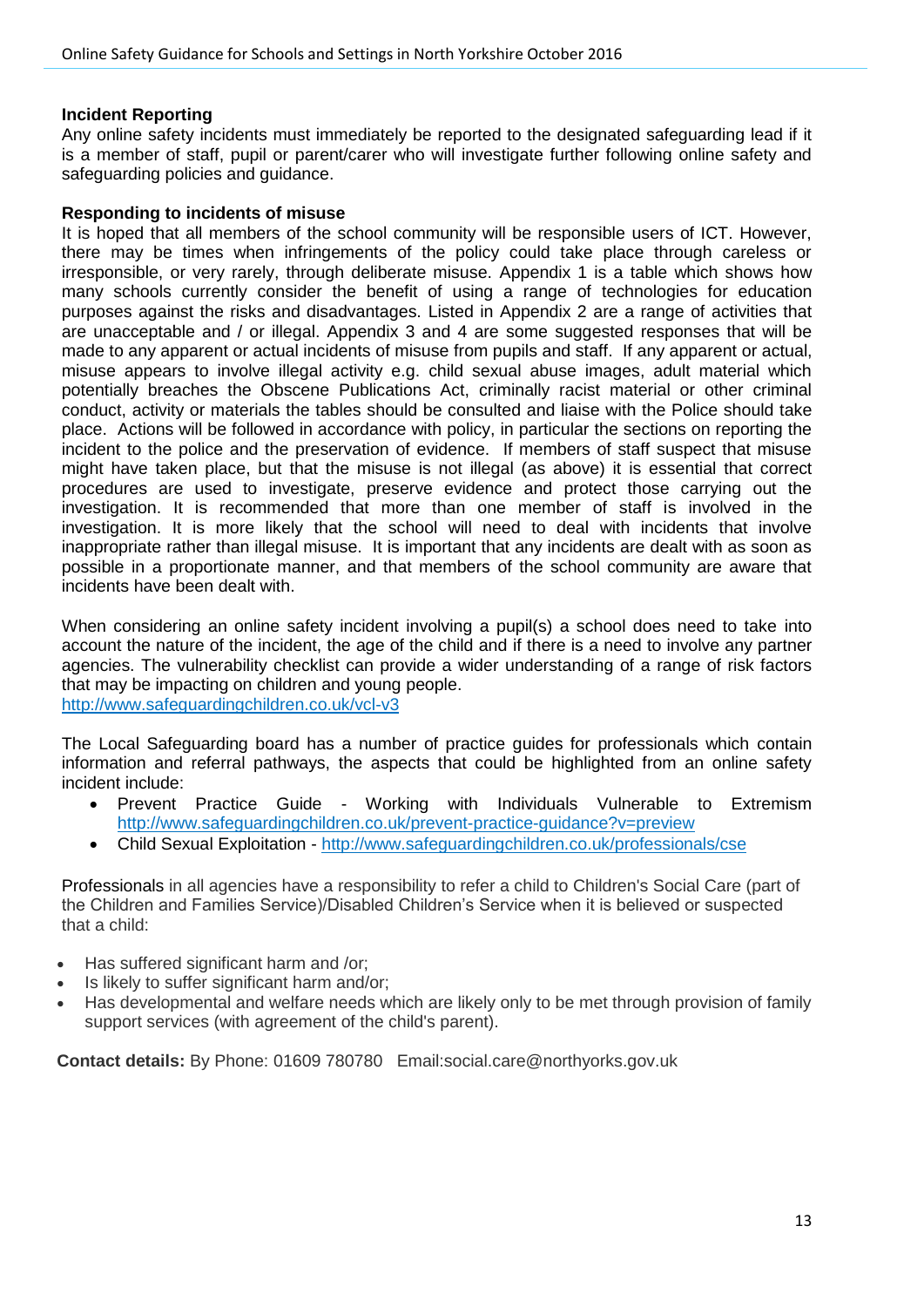#### **Incident Reporting**

Any online safety incidents must immediately be reported to the designated safeguarding lead if it is a member of staff, pupil or parent/carer who will investigate further following online safety and safeguarding policies and guidance.

#### **Responding to incidents of misuse**

It is hoped that all members of the school community will be responsible users of ICT. However, there may be times when infringements of the policy could take place through careless or irresponsible, or very rarely, through deliberate misuse. Appendix 1 is a table which shows how many schools currently consider the benefit of using a range of technologies for education purposes against the risks and disadvantages. Listed in Appendix 2 are a range of activities that are unacceptable and / or illegal. Appendix 3 and 4 are some suggested responses that will be made to any apparent or actual incidents of misuse from pupils and staff. If any apparent or actual, misuse appears to involve illegal activity e.g. child sexual abuse images, adult material which potentially breaches the Obscene Publications Act, criminally racist material or other criminal conduct, activity or materials the tables should be consulted and liaise with the Police should take place. Actions will be followed in accordance with policy, in particular the sections on reporting the incident to the police and the preservation of evidence. If members of staff suspect that misuse might have taken place, but that the misuse is not illegal (as above) it is essential that correct procedures are used to investigate, preserve evidence and protect those carrying out the investigation. It is recommended that more than one member of staff is involved in the investigation. It is more likely that the school will need to deal with incidents that involve inappropriate rather than illegal misuse. It is important that any incidents are dealt with as soon as possible in a proportionate manner, and that members of the school community are aware that incidents have been dealt with.

When considering an online safety incident involving a pupil(s) a school does need to take into account the nature of the incident, the age of the child and if there is a need to involve any partner agencies. The vulnerability checklist can provide a wider understanding of a range of risk factors that may be impacting on children and young people.

<http://www.safeguardingchildren.co.uk/vcl-v3>

The Local Safeguarding board has a number of practice guides for professionals which contain information and referral pathways, the aspects that could be highlighted from an online safety incident include:

- Prevent Practice Guide Working with Individuals Vulnerable to Extremism <http://www.safeguardingchildren.co.uk/prevent-practice-guidance?v=preview>
- Child Sexual Exploitation <http://www.safeguardingchildren.co.uk/professionals/cse>

Professionals in all agencies have a responsibility to refer a child to Children's Social Care (part of the Children and Families Service)/Disabled Children's Service when it is believed or suspected that a child:

- Has suffered significant harm and /or;
- Is likely to suffer significant harm and/or;
- Has developmental and welfare needs which are likely only to be met through provision of family support services (with agreement of the child's parent).

**Contact details:** By Phone: 01609 780780 Email:social.care@northyorks.gov.uk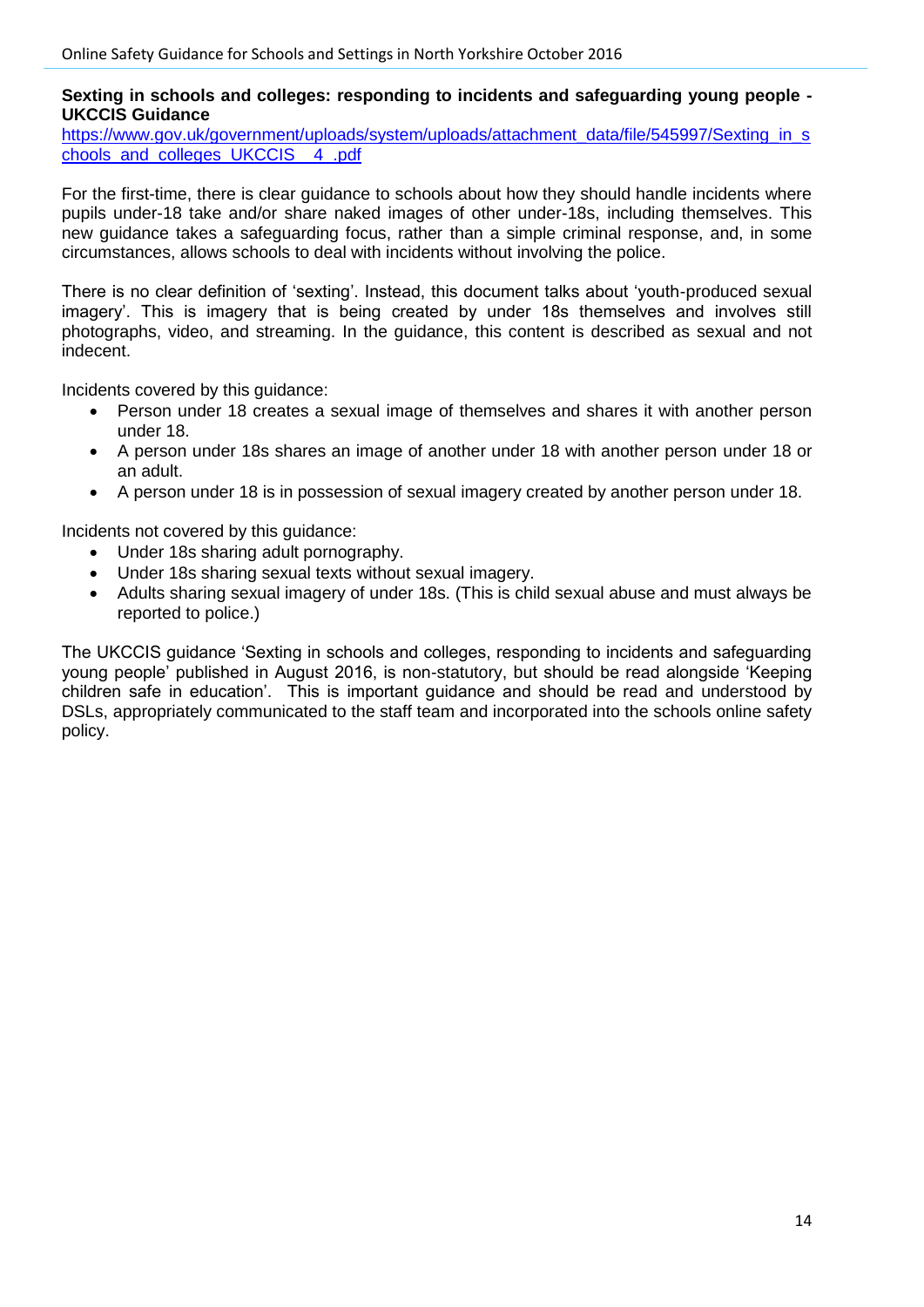#### **Sexting in schools and colleges: responding to incidents and safeguarding young people - UKCCIS Guidance**

[https://www.gov.uk/government/uploads/system/uploads/attachment\\_data/file/545997/Sexting\\_in\\_s](https://www.gov.uk/government/uploads/system/uploads/attachment_data/file/545997/Sexting_in_schools_and_colleges_UKCCIS__4_.pdf) [chools\\_and\\_colleges\\_UKCCIS\\_\\_4\\_.pdf](https://www.gov.uk/government/uploads/system/uploads/attachment_data/file/545997/Sexting_in_schools_and_colleges_UKCCIS__4_.pdf)

For the first-time, there is clear guidance to schools about how they should handle incidents where pupils under-18 take and/or share naked images of other under-18s, including themselves. This new guidance takes a safeguarding focus, rather than a simple criminal response, and, in some circumstances, allows schools to deal with incidents without involving the police.

There is no clear definition of 'sexting'. Instead, this document talks about 'youth-produced sexual imagery'. This is imagery that is being created by under 18s themselves and involves still photographs, video, and streaming. In the guidance, this content is described as sexual and not indecent.

Incidents covered by this guidance:

- Person under 18 creates a sexual image of themselves and shares it with another person under 18.
- A person under 18s shares an image of another under 18 with another person under 18 or an adult.
- A person under 18 is in possession of sexual imagery created by another person under 18.

Incidents not covered by this guidance:

- Under 18s sharing adult pornography.
- Under 18s sharing sexual texts without sexual imagery.
- Adults sharing sexual imagery of under 18s. (This is child sexual abuse and must always be reported to police.)

The UKCCIS guidance 'Sexting in schools and colleges, responding to incidents and safeguarding young people' published in August 2016, is non-statutory, but should be read alongside 'Keeping children safe in education'. This is important guidance and should be read and understood by DSLs, appropriately communicated to the staff team and incorporated into the schools online safety policy.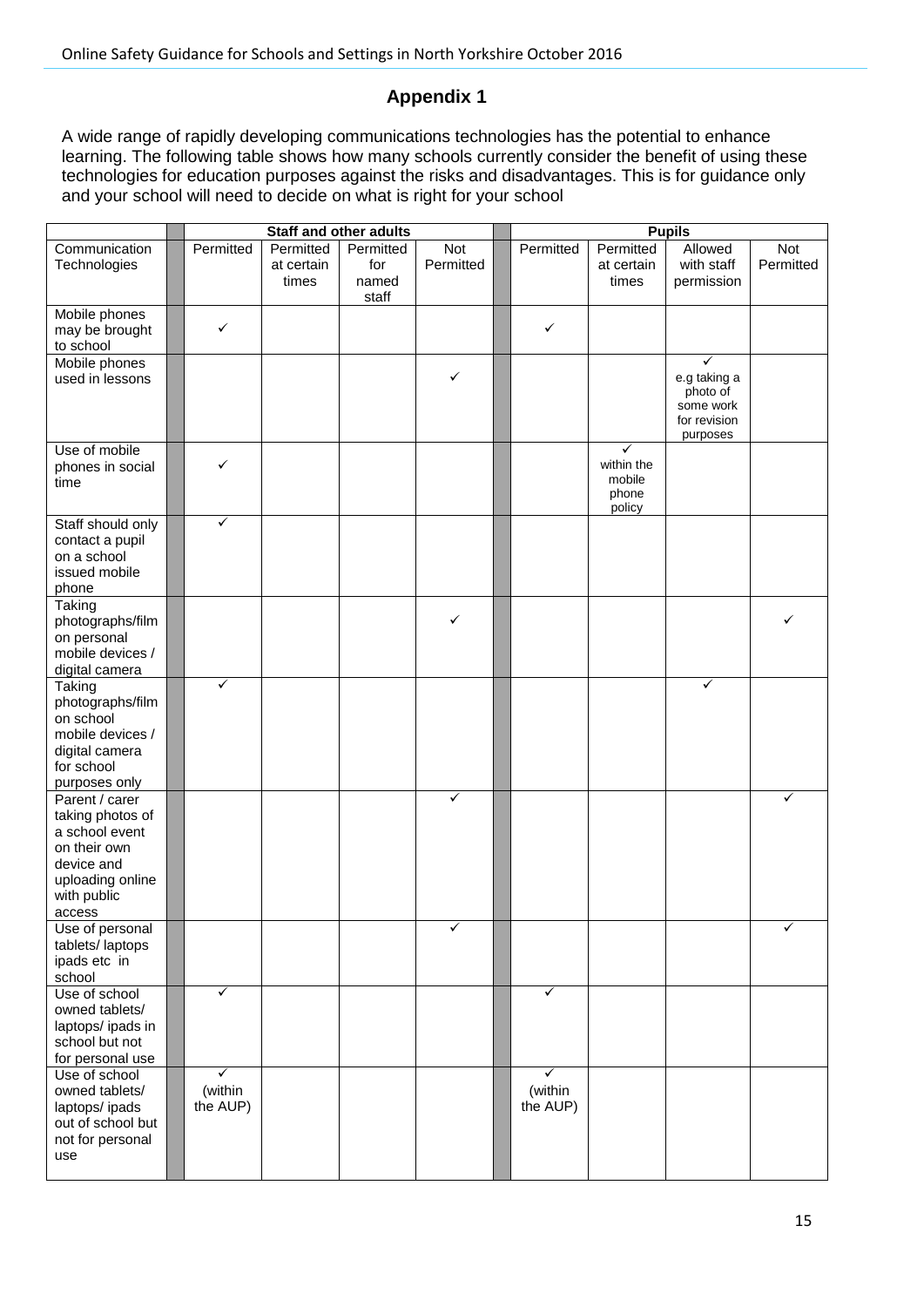# **Appendix 1**

A wide range of rapidly developing communications technologies has the potential to enhance learning. The following table shows how many schools currently consider the benefit of using these technologies for education purposes against the risks and disadvantages. This is for guidance only and your school will need to decide on what is right for your school

|                                                                                                                                 |                          |                                  | <b>Staff and other adults</b>      |                         |                          |                                              | <b>Pupils</b>                                                                     |                         |
|---------------------------------------------------------------------------------------------------------------------------------|--------------------------|----------------------------------|------------------------------------|-------------------------|--------------------------|----------------------------------------------|-----------------------------------------------------------------------------------|-------------------------|
| Communication<br>Technologies                                                                                                   | Permitted                | Permitted<br>at certain<br>times | Permitted<br>for<br>named<br>staff | <b>Not</b><br>Permitted | Permitted                | Permitted<br>at certain<br>times             | Allowed<br>with staff<br>permission                                               | <b>Not</b><br>Permitted |
| Mobile phones<br>may be brought<br>to school                                                                                    | ✓                        |                                  |                                    |                         | ✓                        |                                              |                                                                                   |                         |
| Mobile phones<br>used in lessons                                                                                                |                          |                                  |                                    | ✓                       |                          |                                              | $\checkmark$<br>e.g taking a<br>photo of<br>some work<br>for revision<br>purposes |                         |
| Use of mobile<br>phones in social<br>time                                                                                       | ✓                        |                                  |                                    |                         |                          | ✓<br>within the<br>mobile<br>phone<br>policy |                                                                                   |                         |
| Staff should only<br>contact a pupil<br>on a school<br>issued mobile<br>phone                                                   | ✓                        |                                  |                                    |                         |                          |                                              |                                                                                   |                         |
| Taking<br>photographs/film<br>on personal<br>mobile devices /<br>digital camera                                                 |                          |                                  |                                    | ✓                       |                          |                                              |                                                                                   | ✓                       |
| Taking<br>photographs/film<br>on school<br>mobile devices /<br>digital camera<br>for school<br>purposes only                    | ✓                        |                                  |                                    |                         |                          |                                              | $\checkmark$                                                                      |                         |
| Parent / carer<br>taking photos of<br>a school event<br>on their own<br>device and<br>uploading online<br>with public<br>access |                          |                                  |                                    | ✓                       |                          |                                              |                                                                                   | ✓                       |
| Use of personal<br>tablets/laptops<br>ipads etc in<br>school                                                                    |                          |                                  |                                    | ✓                       |                          |                                              |                                                                                   | ✓                       |
| Use of school<br>owned tablets/<br>laptops/ipads in<br>school but not<br>for personal use                                       | ✓                        |                                  |                                    |                         | ✓                        |                                              |                                                                                   |                         |
| Use of school<br>owned tablets/<br>laptops/ipads<br>out of school but<br>not for personal<br>use                                | ✓<br>(within<br>the AUP) |                                  |                                    |                         | ✓<br>(within<br>the AUP) |                                              |                                                                                   |                         |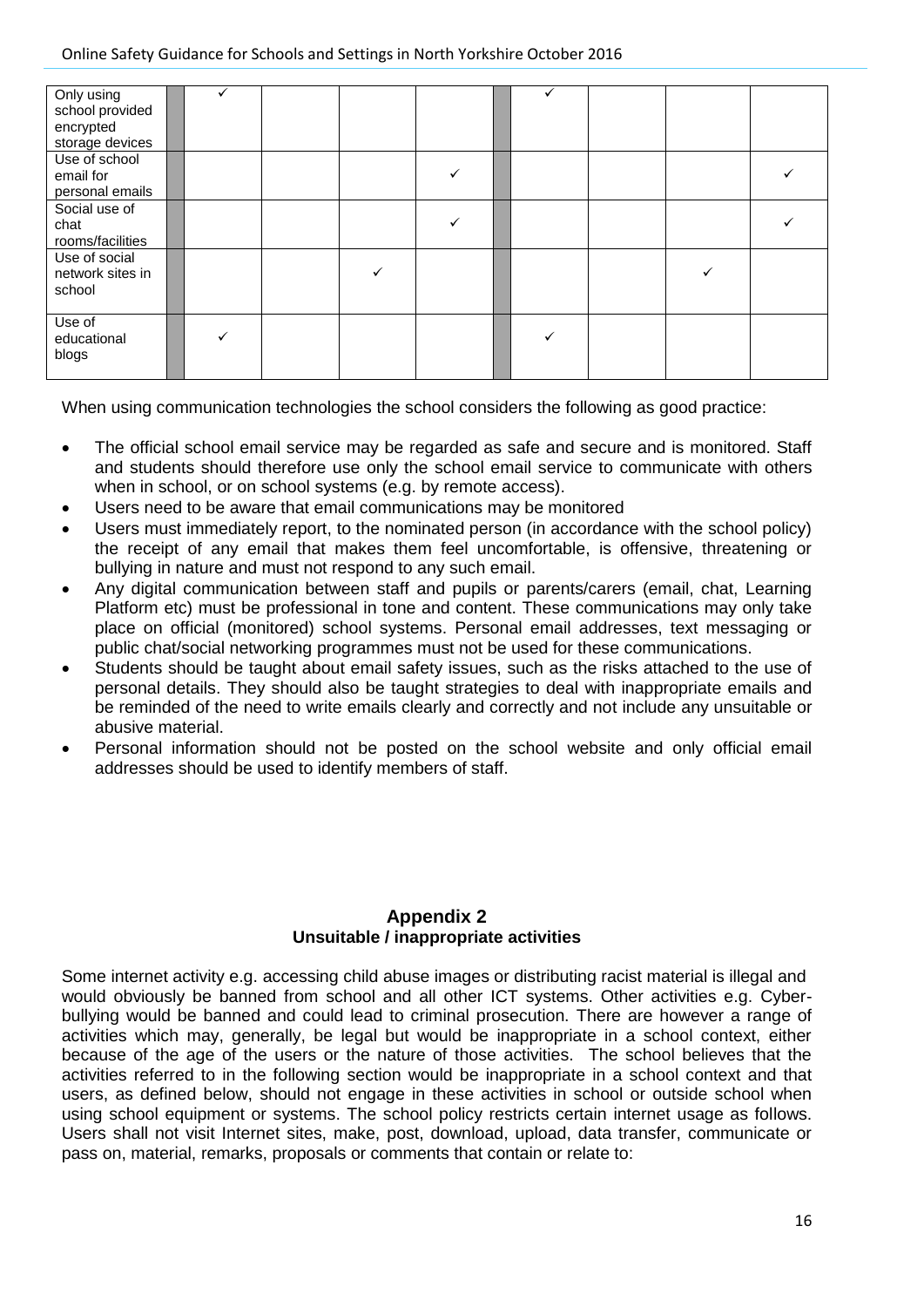| Only using<br>school provided<br>encrypted<br>storage devices |  |  |  |  |  |
|---------------------------------------------------------------|--|--|--|--|--|
| Use of school<br>email for<br>personal emails                 |  |  |  |  |  |
| Social use of<br>chat<br>rooms/facilities                     |  |  |  |  |  |
| Use of social<br>network sites in<br>school                   |  |  |  |  |  |
| Use of<br>educational<br>blogs                                |  |  |  |  |  |

When using communication technologies the school considers the following as good practice:

- The official school email service may be regarded as safe and secure and is monitored. Staff and students should therefore use only the school email service to communicate with others when in school, or on school systems (e.g. by remote access).
- Users need to be aware that email communications may be monitored
- Users must immediately report, to the nominated person (in accordance with the school policy) the receipt of any email that makes them feel uncomfortable, is offensive, threatening or bullying in nature and must not respond to any such email.
- Any digital communication between staff and pupils or parents/carers (email, chat, Learning Platform etc) must be professional in tone and content. These communications may only take place on official (monitored) school systems. Personal email addresses, text messaging or public chat/social networking programmes must not be used for these communications.
- Students should be taught about email safety issues, such as the risks attached to the use of personal details. They should also be taught strategies to deal with inappropriate emails and be reminded of the need to write emails clearly and correctly and not include any unsuitable or abusive material.
- Personal information should not be posted on the school website and only official email addresses should be used to identify members of staff.

## **Appendix 2 Unsuitable / inappropriate activities**

Some internet activity e.g. accessing child abuse images or distributing racist material is illegal and would obviously be banned from school and all other ICT systems. Other activities e.g. Cyberbullying would be banned and could lead to criminal prosecution. There are however a range of activities which may, generally, be legal but would be inappropriate in a school context, either because of the age of the users or the nature of those activities. The school believes that the activities referred to in the following section would be inappropriate in a school context and that users, as defined below, should not engage in these activities in school or outside school when using school equipment or systems. The school policy restricts certain internet usage as follows. Users shall not visit Internet sites, make, post, download, upload, data transfer, communicate or pass on, material, remarks, proposals or comments that contain or relate to: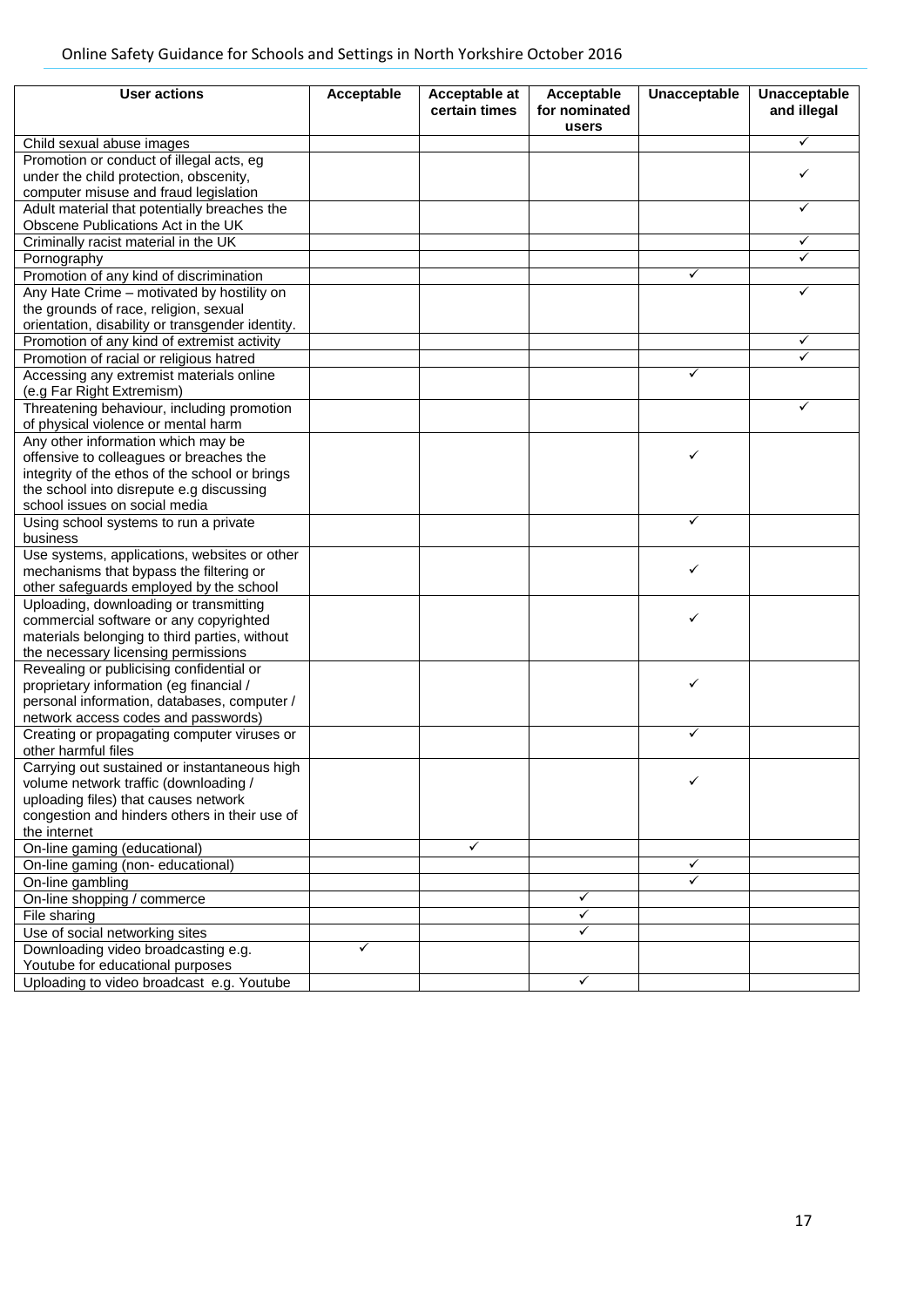| <b>User actions</b>                                                                   | Acceptable | <b>Acceptable at</b> | Acceptable             | <b>Unacceptable</b> | <b>Unacceptable</b> |
|---------------------------------------------------------------------------------------|------------|----------------------|------------------------|---------------------|---------------------|
|                                                                                       |            | certain times        | for nominated<br>users |                     | and illegal         |
| Child sexual abuse images                                                             |            |                      |                        |                     | ✓                   |
| Promotion or conduct of illegal acts, eg                                              |            |                      |                        |                     |                     |
| under the child protection, obscenity,                                                |            |                      |                        |                     | ✓                   |
| computer misuse and fraud legislation                                                 |            |                      |                        |                     |                     |
| Adult material that potentially breaches the                                          |            |                      |                        |                     | ✓                   |
| Obscene Publications Act in the UK                                                    |            |                      |                        |                     |                     |
| Criminally racist material in the UK                                                  |            |                      |                        |                     | ✓                   |
| Pornography                                                                           |            |                      |                        |                     |                     |
| Promotion of any kind of discrimination                                               |            |                      |                        | ✓                   |                     |
| Any Hate Crime - motivated by hostility on                                            |            |                      |                        |                     | ✓                   |
| the grounds of race, religion, sexual                                                 |            |                      |                        |                     |                     |
| orientation, disability or transgender identity.                                      |            |                      |                        |                     |                     |
| Promotion of any kind of extremist activity                                           |            |                      |                        |                     | ✓                   |
| Promotion of racial or religious hatred                                               |            |                      |                        |                     | ✓                   |
| Accessing any extremist materials online                                              |            |                      |                        | ✓                   |                     |
| (e.g Far Right Extremism)                                                             |            |                      |                        |                     |                     |
| Threatening behaviour, including promotion                                            |            |                      |                        |                     | ✓                   |
| of physical violence or mental harm                                                   |            |                      |                        |                     |                     |
| Any other information which may be                                                    |            |                      |                        |                     |                     |
| offensive to colleagues or breaches the                                               |            |                      |                        | ✓                   |                     |
| integrity of the ethos of the school or brings                                        |            |                      |                        |                     |                     |
| the school into disrepute e.g discussing                                              |            |                      |                        |                     |                     |
| school issues on social media                                                         |            |                      |                        |                     |                     |
| Using school systems to run a private                                                 |            |                      |                        | ✓                   |                     |
| business                                                                              |            |                      |                        |                     |                     |
| Use systems, applications, websites or other                                          |            |                      |                        |                     |                     |
| mechanisms that bypass the filtering or                                               |            |                      |                        | ✓                   |                     |
| other safeguards employed by the school                                               |            |                      |                        |                     |                     |
| Uploading, downloading or transmitting                                                |            |                      |                        |                     |                     |
| commercial software or any copyrighted                                                |            |                      |                        | ✓                   |                     |
| materials belonging to third parties, without                                         |            |                      |                        |                     |                     |
| the necessary licensing permissions                                                   |            |                      |                        |                     |                     |
| Revealing or publicising confidential or                                              |            |                      |                        |                     |                     |
| proprietary information (eg financial /                                               |            |                      |                        | ✓                   |                     |
| personal information, databases, computer /                                           |            |                      |                        |                     |                     |
| network access codes and passwords)                                                   |            |                      |                        |                     |                     |
| Creating or propagating computer viruses or                                           |            |                      |                        | ✓                   |                     |
| other harmful files                                                                   |            |                      |                        |                     |                     |
| Carrying out sustained or instantaneous high                                          |            |                      |                        |                     |                     |
| volume network traffic (downloading /                                                 |            |                      |                        |                     |                     |
| uploading files) that causes network<br>congestion and hinders others in their use of |            |                      |                        |                     |                     |
|                                                                                       |            |                      |                        |                     |                     |
| the internet                                                                          |            | ✓                    |                        |                     |                     |
| On-line gaming (educational)<br>On-line gaming (non-educational)                      |            |                      |                        | ✓                   |                     |
| On-line gambling                                                                      |            |                      |                        | ✓                   |                     |
| On-line shopping / commerce                                                           |            |                      | ✓                      |                     |                     |
| File sharing                                                                          |            |                      | ✓                      |                     |                     |
| Use of social networking sites                                                        |            |                      | ✓                      |                     |                     |
| Downloading video broadcasting e.g.                                                   | ✓          |                      |                        |                     |                     |
| Youtube for educational purposes                                                      |            |                      |                        |                     |                     |
| Uploading to video broadcast e.g. Youtube                                             |            |                      | ✓                      |                     |                     |
|                                                                                       |            |                      |                        |                     |                     |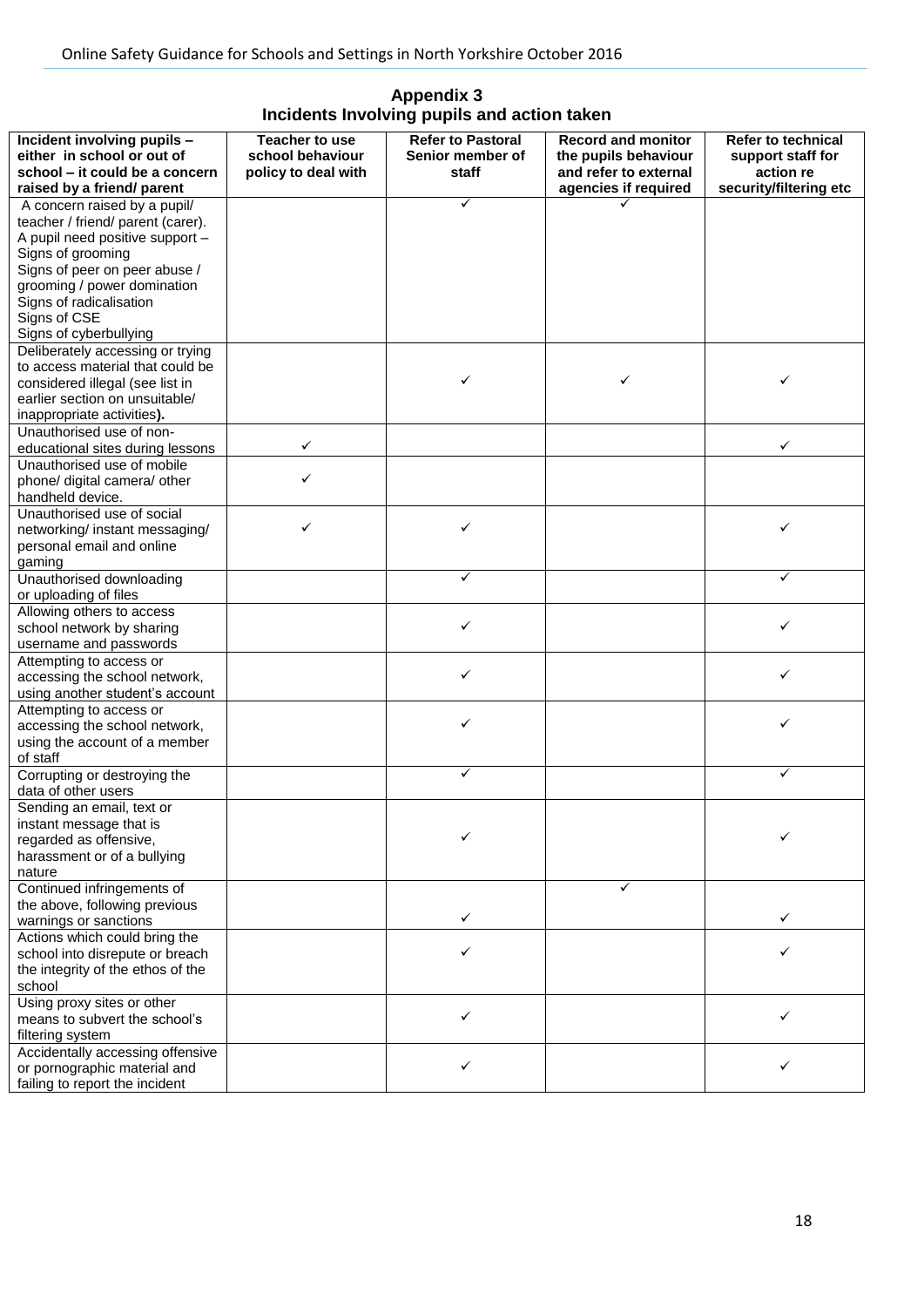| <b>Appendix 3</b>                           |
|---------------------------------------------|
| Incidents Involving pupils and action taken |

| Incident involving pupils -<br>either in school or out of<br>school – it could be a concern<br>raised by a friend/ parent                                               | <b>Teacher to use</b><br>school behaviour<br>policy to deal with | <b>Refer to Pastoral</b><br>Senior member of<br>staff | <b>Record and monitor</b><br>the pupils behaviour<br>and refer to external<br>agencies if required | <b>Refer to technical</b><br>support staff for<br>action re<br>security/filtering etc |
|-------------------------------------------------------------------------------------------------------------------------------------------------------------------------|------------------------------------------------------------------|-------------------------------------------------------|----------------------------------------------------------------------------------------------------|---------------------------------------------------------------------------------------|
| A concern raised by a pupil/<br>teacher / friend/ parent (carer).<br>A pupil need positive support -<br>Signs of grooming                                               |                                                                  | $\checkmark$                                          |                                                                                                    |                                                                                       |
| Signs of peer on peer abuse /<br>grooming / power domination<br>Signs of radicalisation<br>Signs of CSE<br>Signs of cyberbullying                                       |                                                                  |                                                       |                                                                                                    |                                                                                       |
| Deliberately accessing or trying<br>to access material that could be<br>considered illegal (see list in<br>earlier section on unsuitable/<br>inappropriate activities). |                                                                  | $\checkmark$                                          | ✓                                                                                                  | ✓                                                                                     |
| Unauthorised use of non-<br>educational sites during lessons                                                                                                            | ✓                                                                |                                                       |                                                                                                    | ✓                                                                                     |
| Unauthorised use of mobile<br>phone/ digital camera/ other<br>handheld device.                                                                                          | ✓                                                                |                                                       |                                                                                                    |                                                                                       |
| Unauthorised use of social<br>networking/ instant messaging/<br>personal email and online<br>gaming                                                                     | ✓                                                                | ✓                                                     |                                                                                                    | ✓                                                                                     |
| Unauthorised downloading<br>or uploading of files                                                                                                                       |                                                                  | $\checkmark$                                          |                                                                                                    | ✓                                                                                     |
| Allowing others to access<br>school network by sharing<br>username and passwords                                                                                        |                                                                  | ✓                                                     |                                                                                                    | ✓                                                                                     |
| Attempting to access or<br>accessing the school network,<br>using another student's account                                                                             |                                                                  | ✓                                                     |                                                                                                    |                                                                                       |
| Attempting to access or<br>accessing the school network,<br>using the account of a member<br>of staff                                                                   |                                                                  | ✓                                                     |                                                                                                    | ✓                                                                                     |
| Corrupting or destroying the<br>data of other users                                                                                                                     |                                                                  | ✓                                                     |                                                                                                    | ✓                                                                                     |
| Sending an email, text or<br>instant message that is<br>regarded as offensive,<br>harassment or of a bullying<br>nature                                                 |                                                                  |                                                       |                                                                                                    |                                                                                       |
| Continued infringements of<br>the above, following previous<br>warnings or sanctions                                                                                    |                                                                  | $\checkmark$                                          | ✓                                                                                                  | ✓                                                                                     |
| Actions which could bring the<br>school into disrepute or breach<br>the integrity of the ethos of the<br>school                                                         |                                                                  | ✓                                                     |                                                                                                    | ✓                                                                                     |
| Using proxy sites or other<br>means to subvert the school's<br>filtering system                                                                                         |                                                                  | $\checkmark$                                          |                                                                                                    | ✓                                                                                     |
| Accidentally accessing offensive<br>or pornographic material and<br>failing to report the incident                                                                      |                                                                  | ✓                                                     |                                                                                                    | ✓                                                                                     |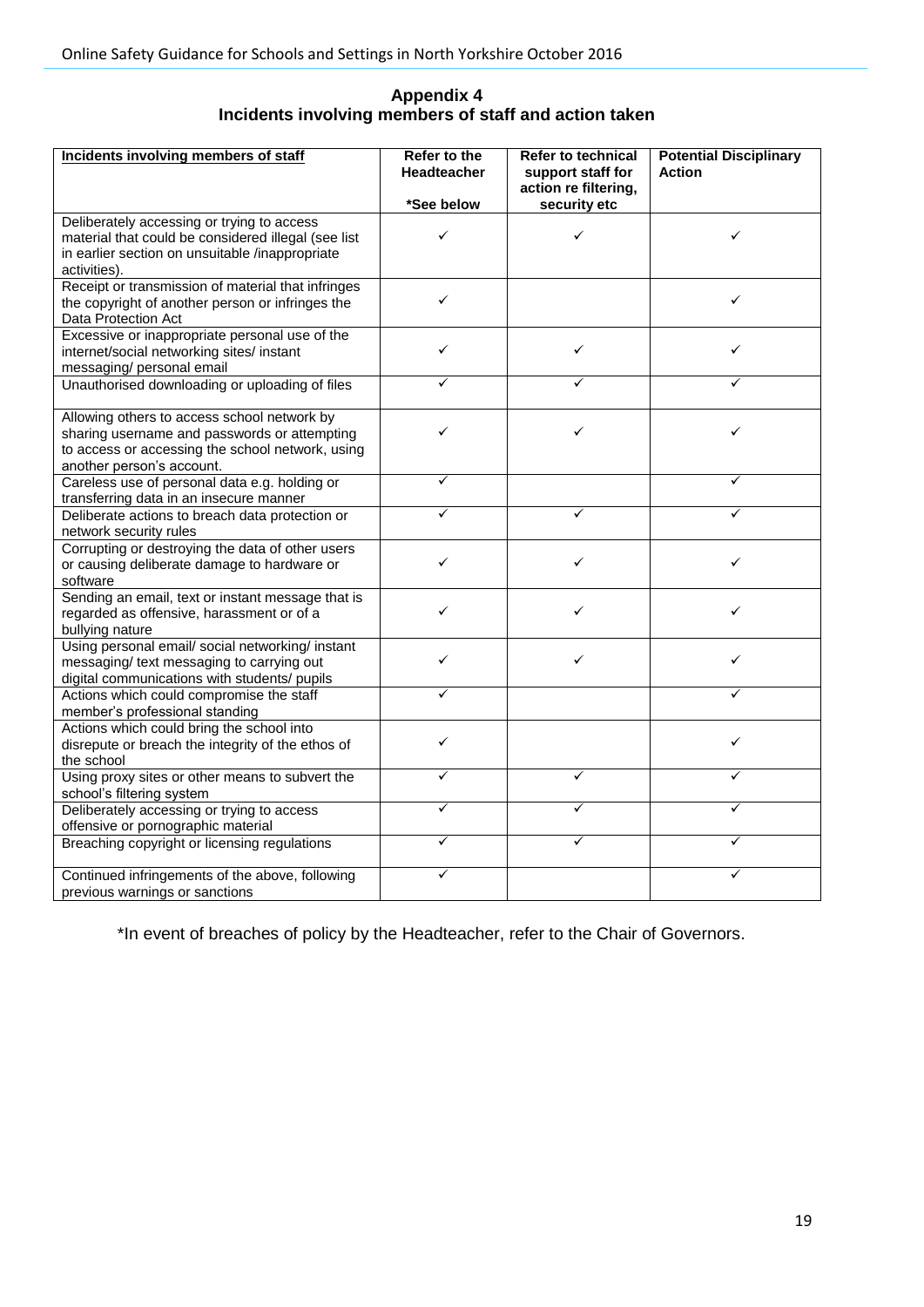# **Appendix 4 Incidents involving members of staff and action taken**

| Incidents involving members of staff                                                                                                                                         | Refer to the<br><b>Headteacher</b> | <b>Refer to technical</b><br>support staff for<br>action re filtering, | <b>Potential Disciplinary</b><br><b>Action</b> |
|------------------------------------------------------------------------------------------------------------------------------------------------------------------------------|------------------------------------|------------------------------------------------------------------------|------------------------------------------------|
|                                                                                                                                                                              | *See below                         | security etc                                                           |                                                |
| Deliberately accessing or trying to access<br>material that could be considered illegal (see list<br>in earlier section on unsuitable /inappropriate<br>activities).         | ✓                                  | ✓                                                                      | ✓                                              |
| Receipt or transmission of material that infringes<br>the copyright of another person or infringes the<br>Data Protection Act                                                | ✓                                  |                                                                        | ✓                                              |
| Excessive or inappropriate personal use of the<br>internet/social networking sites/ instant<br>messaging/ personal email                                                     | ✓                                  | ✓                                                                      | ✓                                              |
| Unauthorised downloading or uploading of files                                                                                                                               | ✓                                  | ✓                                                                      | ✓                                              |
| Allowing others to access school network by<br>sharing username and passwords or attempting<br>to access or accessing the school network, using<br>another person's account. | ✓                                  | ✓                                                                      | ✓                                              |
| Careless use of personal data e.g. holding or<br>transferring data in an insecure manner                                                                                     | ✓                                  |                                                                        |                                                |
| Deliberate actions to breach data protection or<br>network security rules                                                                                                    | ✓                                  | ✓                                                                      | ✓                                              |
| Corrupting or destroying the data of other users<br>or causing deliberate damage to hardware or<br>software                                                                  | ✓                                  | ✓                                                                      | ✓                                              |
| Sending an email, text or instant message that is<br>regarded as offensive, harassment or of a<br>bullying nature                                                            | ✓                                  | ✓                                                                      | ✓                                              |
| Using personal email/ social networking/ instant<br>messaging/ text messaging to carrying out<br>digital communications with students/ pupils                                | ✓                                  | ✓                                                                      | ✓                                              |
| Actions which could compromise the staff<br>member's professional standing                                                                                                   | ✓                                  |                                                                        | ✓                                              |
| Actions which could bring the school into<br>disrepute or breach the integrity of the ethos of<br>the school                                                                 | ✓                                  |                                                                        | ✓                                              |
| Using proxy sites or other means to subvert the<br>school's filtering system                                                                                                 | ✓                                  | ✓                                                                      | ✓                                              |
| Deliberately accessing or trying to access<br>offensive or pornographic material                                                                                             | ✓                                  | ✓                                                                      | ✓                                              |
| Breaching copyright or licensing regulations                                                                                                                                 | ✓                                  |                                                                        | ✓                                              |
| Continued infringements of the above, following<br>previous warnings or sanctions                                                                                            | ✓                                  |                                                                        | ✓                                              |

\*In event of breaches of policy by the Headteacher, refer to the Chair of Governors.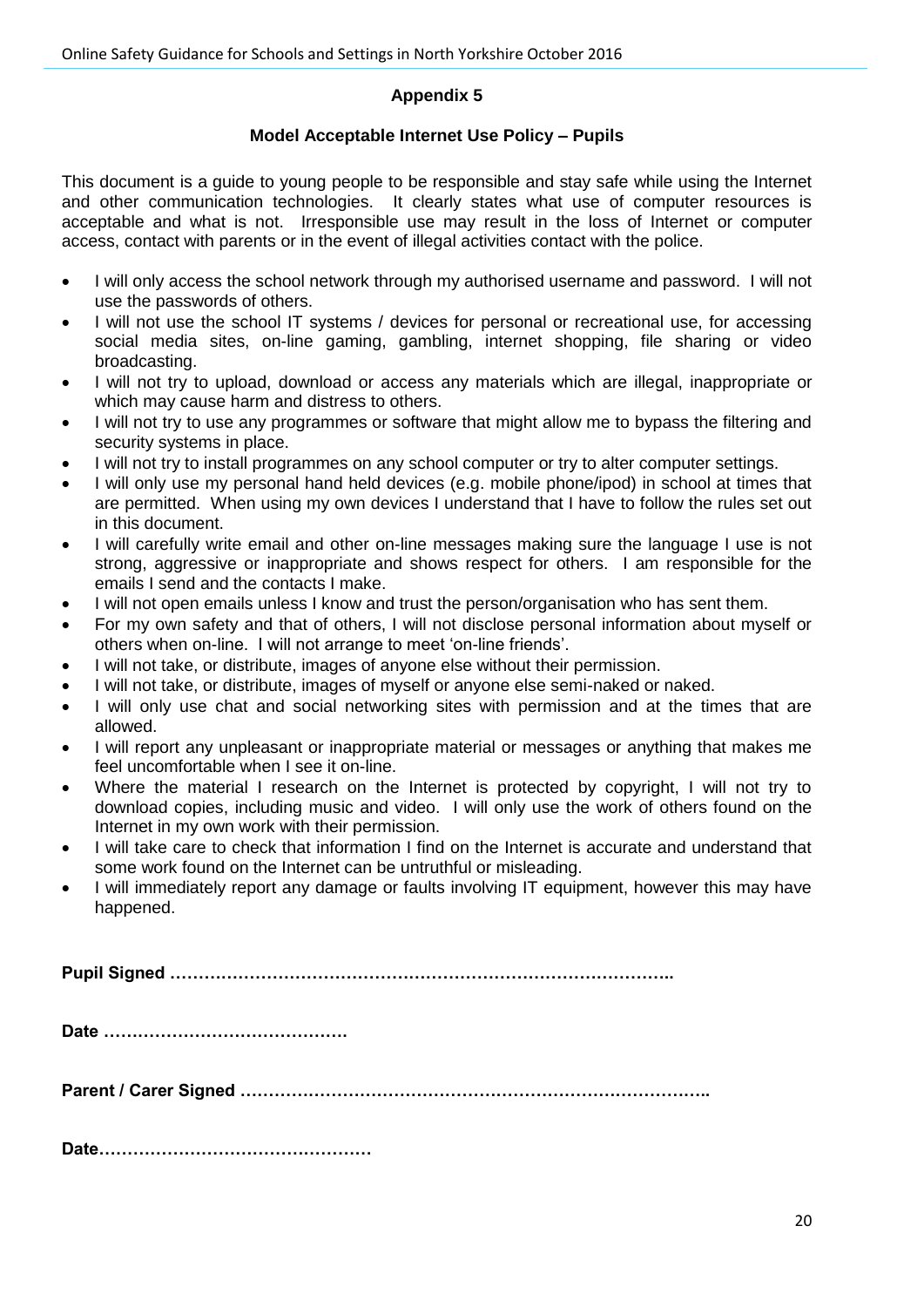#### **Appendix 5**

#### **Model Acceptable Internet Use Policy – Pupils**

This document is a guide to young people to be responsible and stay safe while using the Internet and other communication technologies. It clearly states what use of computer resources is acceptable and what is not. Irresponsible use may result in the loss of Internet or computer access, contact with parents or in the event of illegal activities contact with the police.

- I will only access the school network through my authorised username and password. I will not use the passwords of others.
- I will not use the school IT systems / devices for personal or recreational use, for accessing social media sites, on-line gaming, gambling, internet shopping, file sharing or video broadcasting.
- I will not try to upload, download or access any materials which are illegal, inappropriate or which may cause harm and distress to others.
- I will not try to use any programmes or software that might allow me to bypass the filtering and security systems in place.
- I will not try to install programmes on any school computer or try to alter computer settings.
- I will only use my personal hand held devices (e.g. mobile phone/ipod) in school at times that are permitted. When using my own devices I understand that I have to follow the rules set out in this document.
- I will carefully write email and other on-line messages making sure the language I use is not strong, aggressive or inappropriate and shows respect for others. I am responsible for the emails I send and the contacts I make.
- I will not open emails unless I know and trust the person/organisation who has sent them.
- For my own safety and that of others, I will not disclose personal information about myself or others when on-line. I will not arrange to meet 'on-line friends'.
- I will not take, or distribute, images of anyone else without their permission.
- I will not take, or distribute, images of myself or anyone else semi-naked or naked.
- I will only use chat and social networking sites with permission and at the times that are allowed.
- I will report any unpleasant or inappropriate material or messages or anything that makes me feel uncomfortable when I see it on-line.
- Where the material I research on the Internet is protected by copyright, I will not try to download copies, including music and video. I will only use the work of others found on the Internet in my own work with their permission.
- I will take care to check that information I find on the Internet is accurate and understand that some work found on the Internet can be untruthful or misleading.
- I will immediately report any damage or faults involving IT equipment, however this may have happened.

**Pupil Signed ……………………………………………………………………………..**

**Date …………………………………….**

**Parent / Carer Signed ………………………………………………………………………..**

**Date…………………………………………**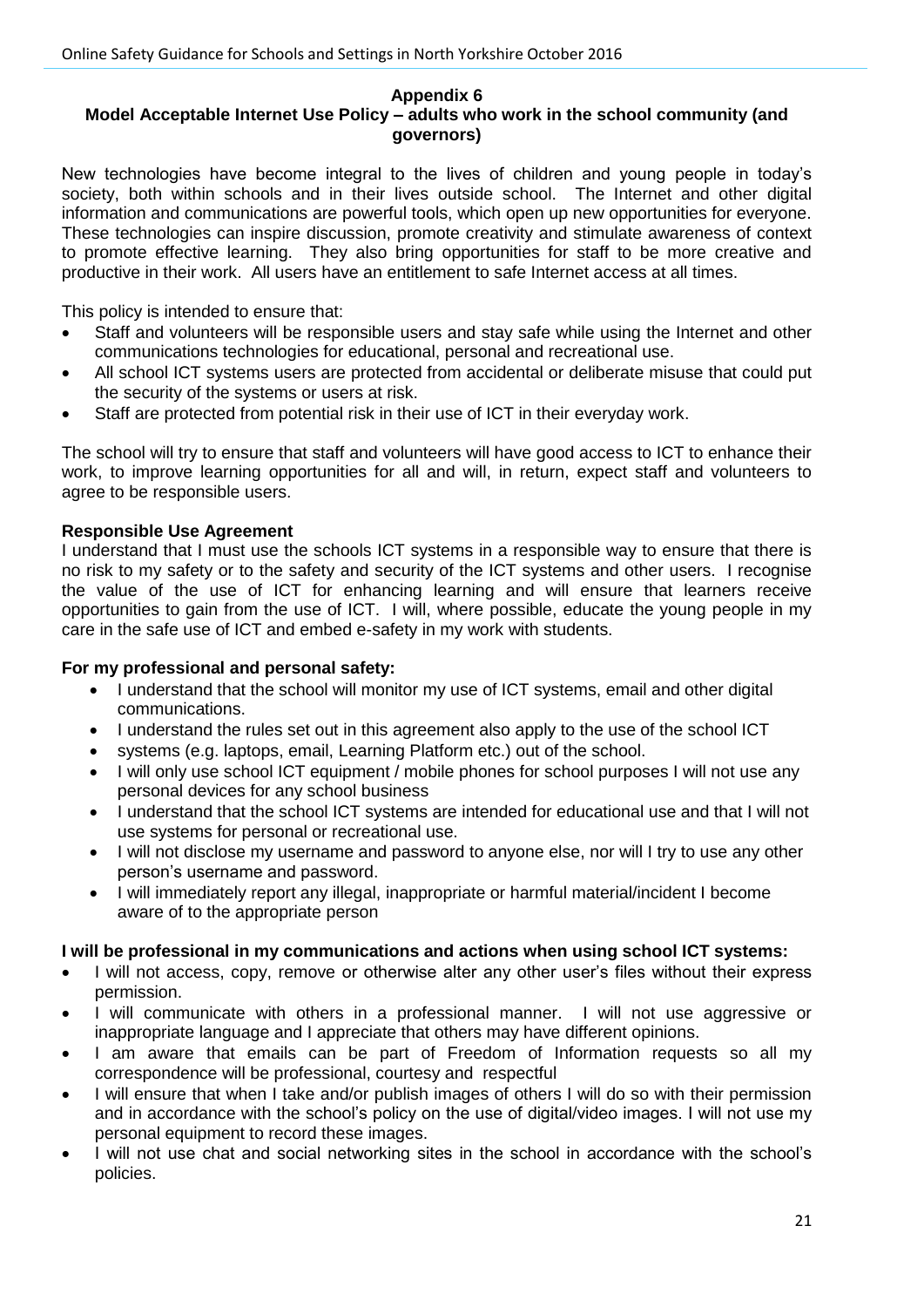#### **Appendix 6**

## **Model Acceptable Internet Use Policy – adults who work in the school community (and governors)**

New technologies have become integral to the lives of children and young people in today's society, both within schools and in their lives outside school. The Internet and other digital information and communications are powerful tools, which open up new opportunities for everyone. These technologies can inspire discussion, promote creativity and stimulate awareness of context to promote effective learning. They also bring opportunities for staff to be more creative and productive in their work. All users have an entitlement to safe Internet access at all times.

This policy is intended to ensure that:

- Staff and volunteers will be responsible users and stay safe while using the Internet and other communications technologies for educational, personal and recreational use.
- All school ICT systems users are protected from accidental or deliberate misuse that could put the security of the systems or users at risk.
- Staff are protected from potential risk in their use of ICT in their everyday work.

The school will try to ensure that staff and volunteers will have good access to ICT to enhance their work, to improve learning opportunities for all and will, in return, expect staff and volunteers to agree to be responsible users.

## **Responsible Use Agreement**

I understand that I must use the schools ICT systems in a responsible way to ensure that there is no risk to my safety or to the safety and security of the ICT systems and other users. I recognise the value of the use of ICT for enhancing learning and will ensure that learners receive opportunities to gain from the use of ICT. I will, where possible, educate the young people in my care in the safe use of ICT and embed e-safety in my work with students.

#### **For my professional and personal safety:**

- I understand that the school will monitor my use of ICT systems, email and other digital communications.
- I understand the rules set out in this agreement also apply to the use of the school ICT
- systems (e.g. laptops, email, Learning Platform etc.) out of the school.
- I will only use school ICT equipment / mobile phones for school purposes I will not use any personal devices for any school business
- I understand that the school ICT systems are intended for educational use and that I will not use systems for personal or recreational use.
- I will not disclose my username and password to anyone else, nor will I try to use any other person's username and password.
- I will immediately report any illegal, inappropriate or harmful material/incident I become aware of to the appropriate person

#### **I will be professional in my communications and actions when using school ICT systems:**

- I will not access, copy, remove or otherwise alter any other user's files without their express permission.
- I will communicate with others in a professional manner. I will not use aggressive or inappropriate language and I appreciate that others may have different opinions.
- I am aware that emails can be part of Freedom of Information requests so all my correspondence will be professional, courtesy and respectful
- I will ensure that when I take and/or publish images of others I will do so with their permission and in accordance with the school's policy on the use of digital/video images. I will not use my personal equipment to record these images.
- I will not use chat and social networking sites in the school in accordance with the school's policies.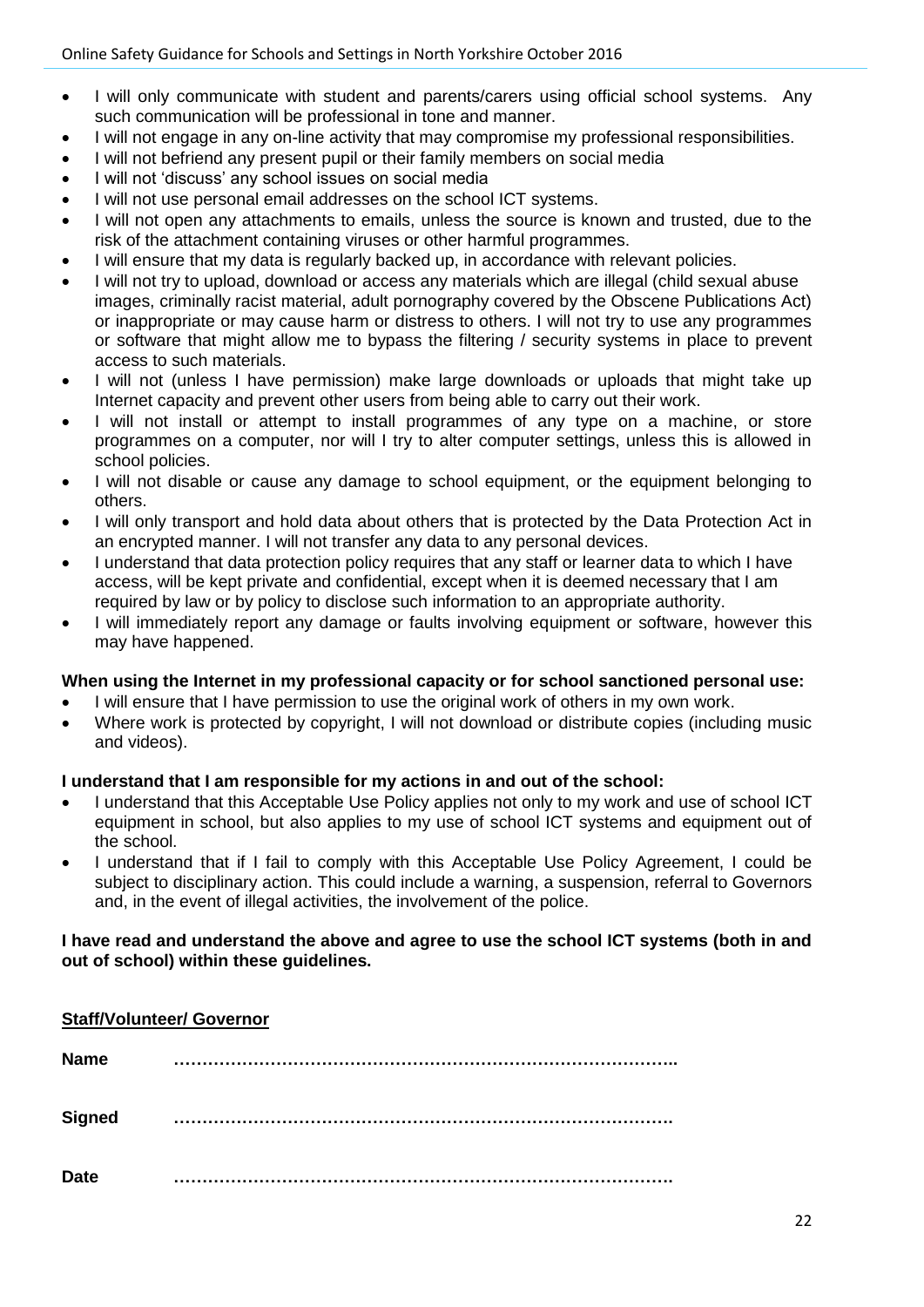- I will only communicate with student and parents/carers using official school systems. Any such communication will be professional in tone and manner.
- I will not engage in any on-line activity that may compromise my professional responsibilities.
- I will not befriend any present pupil or their family members on social media
- I will not 'discuss' any school issues on social media
- I will not use personal email addresses on the school ICT systems.
- I will not open any attachments to emails, unless the source is known and trusted, due to the risk of the attachment containing viruses or other harmful programmes.
- I will ensure that my data is regularly backed up, in accordance with relevant policies.
- I will not try to upload, download or access any materials which are illegal (child sexual abuse images, criminally racist material, adult pornography covered by the Obscene Publications Act) or inappropriate or may cause harm or distress to others. I will not try to use any programmes or software that might allow me to bypass the filtering / security systems in place to prevent access to such materials.
- I will not (unless I have permission) make large downloads or uploads that might take up Internet capacity and prevent other users from being able to carry out their work.
- I will not install or attempt to install programmes of any type on a machine, or store programmes on a computer, nor will I try to alter computer settings, unless this is allowed in school policies.
- I will not disable or cause any damage to school equipment, or the equipment belonging to others.
- I will only transport and hold data about others that is protected by the Data Protection Act in an encrypted manner. I will not transfer any data to any personal devices.
- I understand that data protection policy requires that any staff or learner data to which I have access, will be kept private and confidential, except when it is deemed necessary that I am required by law or by policy to disclose such information to an appropriate authority.
- I will immediately report any damage or faults involving equipment or software, however this may have happened.

#### **When using the Internet in my professional capacity or for school sanctioned personal use:**

- I will ensure that I have permission to use the original work of others in my own work.
- Where work is protected by copyright, I will not download or distribute copies (including music and videos).

#### **I understand that I am responsible for my actions in and out of the school:**

- I understand that this Acceptable Use Policy applies not only to my work and use of school ICT equipment in school, but also applies to my use of school ICT systems and equipment out of the school.
- I understand that if I fail to comply with this Acceptable Use Policy Agreement, I could be subject to disciplinary action. This could include a warning, a suspension, referral to Governors and, in the event of illegal activities, the involvement of the police.

#### **I have read and understand the above and agree to use the school ICT systems (both in and out of school) within these guidelines.**

| <b>Staff/Volunteer/ Governor</b> |  |
|----------------------------------|--|
| <b>Name</b>                      |  |
| <b>Signed</b>                    |  |
| <b>Date</b>                      |  |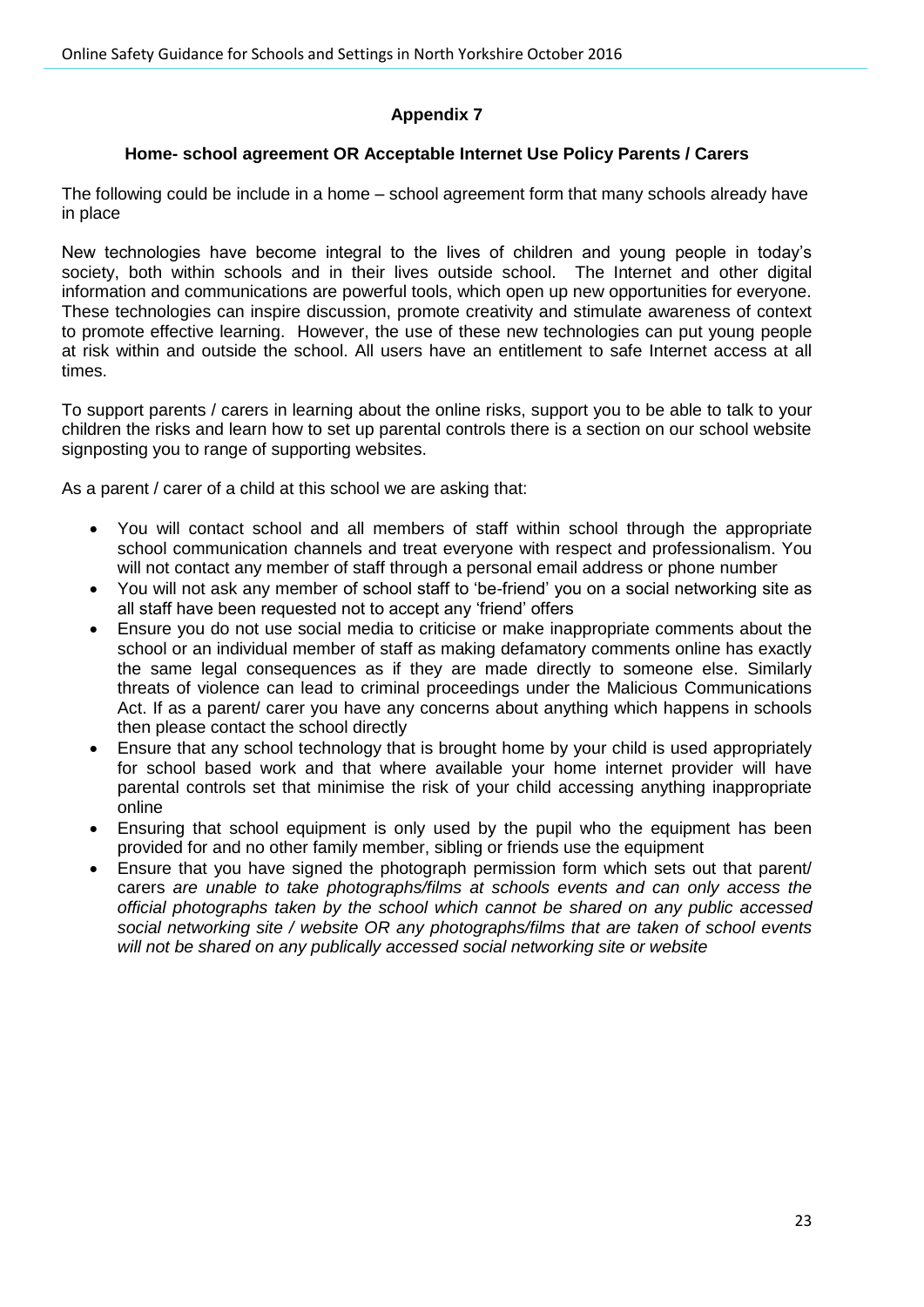# **Appendix 7**

# **Home- school agreement OR Acceptable Internet Use Policy Parents / Carers**

The following could be include in a home – school agreement form that many schools already have in place

New technologies have become integral to the lives of children and young people in today's society, both within schools and in their lives outside school. The Internet and other digital information and communications are powerful tools, which open up new opportunities for everyone. These technologies can inspire discussion, promote creativity and stimulate awareness of context to promote effective learning. However, the use of these new technologies can put young people at risk within and outside the school. All users have an entitlement to safe Internet access at all times.

To support parents / carers in learning about the online risks, support you to be able to talk to your children the risks and learn how to set up parental controls there is a section on our school website signposting you to range of supporting websites.

As a parent / carer of a child at this school we are asking that:

- You will contact school and all members of staff within school through the appropriate school communication channels and treat everyone with respect and professionalism. You will not contact any member of staff through a personal email address or phone number
- You will not ask any member of school staff to 'be-friend' you on a social networking site as all staff have been requested not to accept any 'friend' offers
- Ensure you do not use social media to criticise or make inappropriate comments about the school or an individual member of staff as making defamatory comments online has exactly the same legal consequences as if they are made directly to someone else. Similarly threats of violence can lead to criminal proceedings under the Malicious Communications Act. If as a parent/ carer you have any concerns about anything which happens in schools then please contact the school directly
- Ensure that any school technology that is brought home by your child is used appropriately for school based work and that where available your home internet provider will have parental controls set that minimise the risk of your child accessing anything inappropriate online
- Ensuring that school equipment is only used by the pupil who the equipment has been provided for and no other family member, sibling or friends use the equipment
- Ensure that you have signed the photograph permission form which sets out that parent/ carers *are unable to take photographs/films at schools events and can only access the official photographs taken by the school which cannot be shared on any public accessed social networking site / website OR any photographs/films that are taken of school events will not be shared on any publically accessed social networking site or website*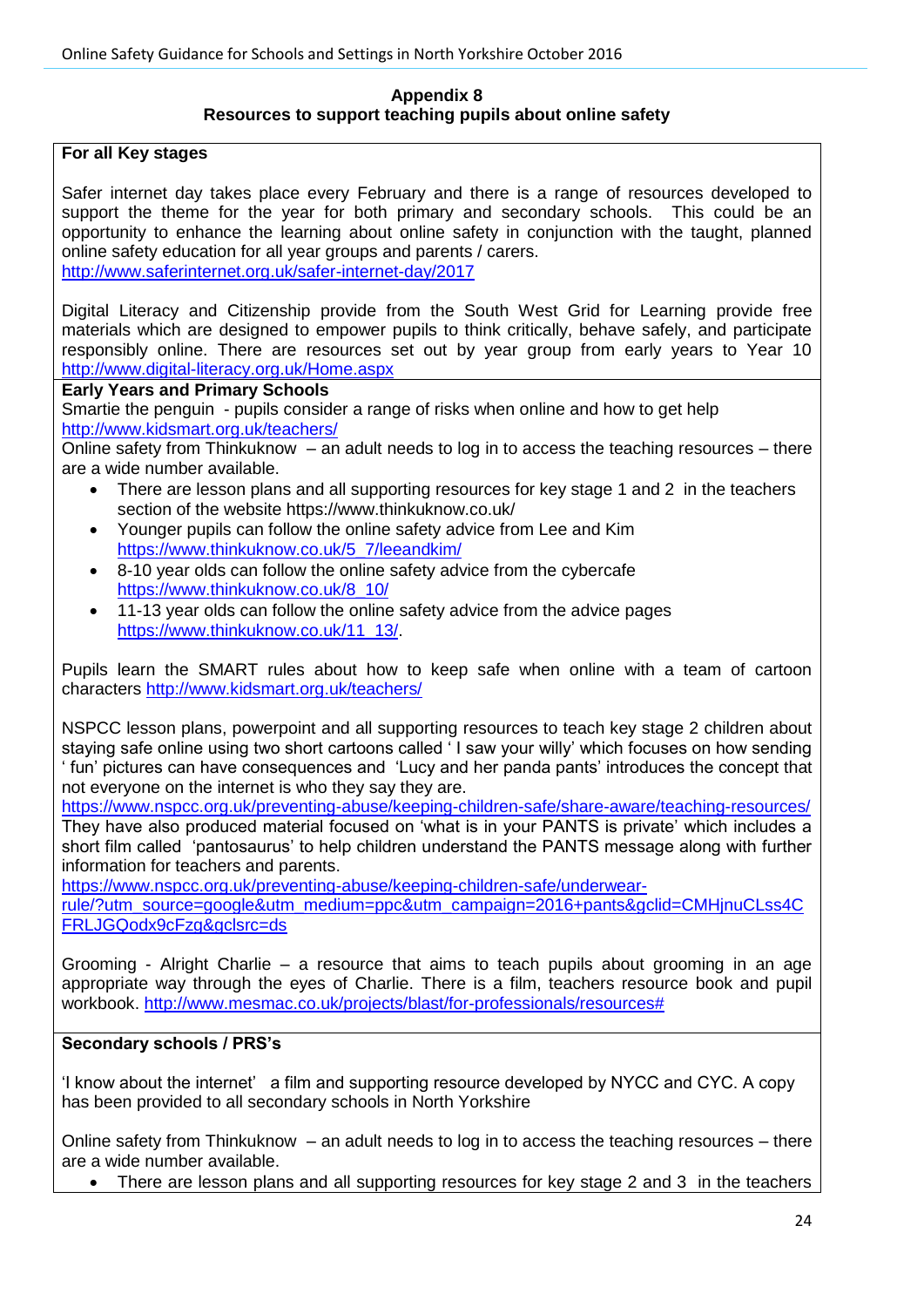#### **Appendix 8 Resources to support teaching pupils about online safety**

#### **For all Key stages**

Safer internet day takes place every February and there is a range of resources developed to support the theme for the year for both primary and secondary schools. This could be an opportunity to enhance the learning about online safety in conjunction with the taught, planned online safety education for all year groups and parents / carers. <http://www.saferinternet.org.uk/safer-internet-day/2017>

Digital Literacy and Citizenship provide from the South West Grid for Learning provide free materials which are designed to empower pupils to think critically, behave safely, and participate responsibly online. There are resources set out by year group from early years to Year 10 <http://www.digital-literacy.org.uk/Home.aspx>

**Early Years and Primary Schools**

Smartie the penguin - pupils consider a range of risks when online and how to get help <http://www.kidsmart.org.uk/teachers/>

Online safety from Thinkuknow – an adult needs to log in to access the teaching resources – there are a wide number available.

- There are lesson plans and all supporting resources for key stage 1 and 2 in the teachers section of the website https://www.thinkuknow.co.uk/
- Younger pupils can follow the online safety advice from Lee and Kim [https://www.thinkuknow.co.uk/5\\_7/leeandkim/](https://www.thinkuknow.co.uk/5_7/leeandkim/)
- 8-10 year olds can follow the online safety advice from the cybercafe [https://www.thinkuknow.co.uk/8\\_10/](https://www.thinkuknow.co.uk/8_10/)
- 11-13 year olds can follow the online safety advice from the advice pages [https://www.thinkuknow.co.uk/11\\_13/.](https://www.thinkuknow.co.uk/11_13/)

Pupils learn the SMART rules about how to keep safe when online with a team of cartoon characters<http://www.kidsmart.org.uk/teachers/>

NSPCC lesson plans, powerpoint and all supporting resources to teach key stage 2 children about staying safe online using two short cartoons called ' I saw your willy' which focuses on how sending ' fun' pictures can have consequences and 'Lucy and her panda pants' introduces the concept that not everyone on the internet is who they say they are.

<https://www.nspcc.org.uk/preventing-abuse/keeping-children-safe/share-aware/teaching-resources/> They have also produced material focused on 'what is in your PANTS is private' which includes a short film called 'pantosaurus' to help children understand the PANTS message along with further information for teachers and parents.

[https://www.nspcc.org.uk/preventing-abuse/keeping-children-safe/underwear-](https://www.nspcc.org.uk/preventing-abuse/keeping-children-safe/underwear-rule/?utm_source=google&utm_medium=ppc&utm_campaign=2016+pants&gclid=CMHjnuCLss4CFRLJGQodx9cFzg&gclsrc=ds)

[rule/?utm\\_source=google&utm\\_medium=ppc&utm\\_campaign=2016+pants&gclid=CMHjnuCLss4C](https://www.nspcc.org.uk/preventing-abuse/keeping-children-safe/underwear-rule/?utm_source=google&utm_medium=ppc&utm_campaign=2016+pants&gclid=CMHjnuCLss4CFRLJGQodx9cFzg&gclsrc=ds) [FRLJGQodx9cFzg&gclsrc=ds](https://www.nspcc.org.uk/preventing-abuse/keeping-children-safe/underwear-rule/?utm_source=google&utm_medium=ppc&utm_campaign=2016+pants&gclid=CMHjnuCLss4CFRLJGQodx9cFzg&gclsrc=ds)

Grooming - Alright Charlie – a resource that aims to teach pupils about grooming in an age appropriate way through the eyes of Charlie. There is a film, teachers resource book and pupil workbook. [http://www.mesmac.co.uk/projects/blast/for-professionals/resources#](http://www.mesmac.co.uk/projects/blast/for-professionals/resources)

#### **Secondary schools / PRS's**

'I know about the internet' a film and supporting resource developed by NYCC and CYC. A copy has been provided to all secondary schools in North Yorkshire

Online safety from Thinkuknow – an adult needs to log in to access the teaching resources – there are a wide number available.

There are lesson plans and all supporting resources for key stage 2 and 3 in the teachers